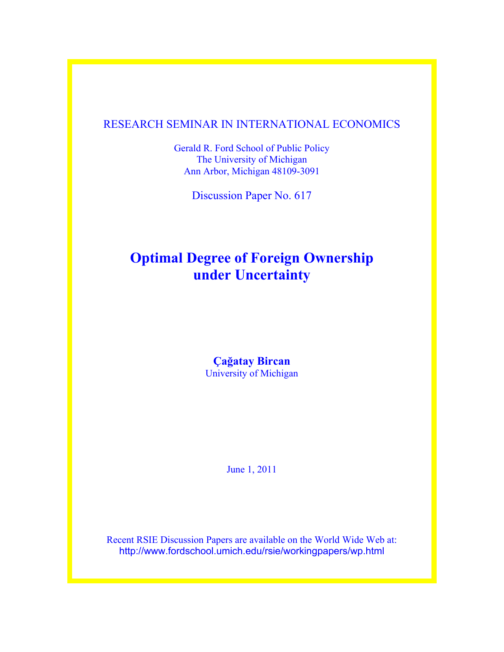### RESEARCH SEMINAR IN INTERNATIONAL ECONOMICS

Gerald R. Ford School of Public Policy The University of Michigan Ann Arbor, Michigan 48109-3091

Discussion Paper No. 617

# **Optimal Degree of Foreign Ownership under Uncertainty**

### **Çağatay Bircan** University of Michigan

June 1, 2011

Recent RSIE Discussion Papers are available on the World Wide Web at: http://www.fordschool.umich.edu/rsie/workingpapers/wp.html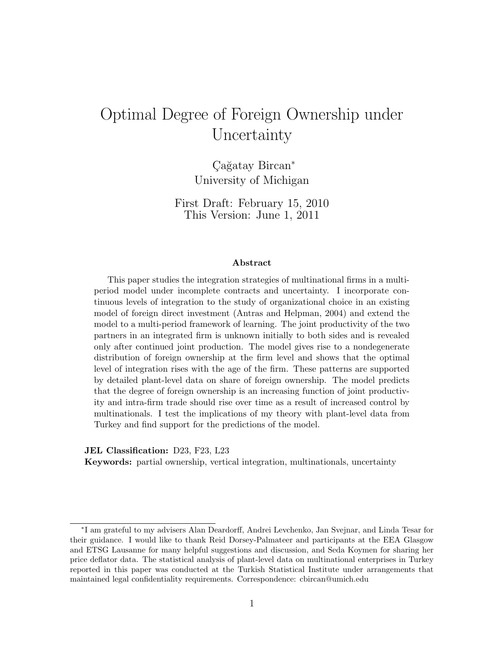# Optimal Degree of Foreign Ownership under Uncertainty

Cağatay Bircan<sup>∗</sup> University of Michigan

First Draft: February 15, 2010 This Version: June 1, 2011

#### Abstract

This paper studies the integration strategies of multinational firms in a multiperiod model under incomplete contracts and uncertainty. I incorporate continuous levels of integration to the study of organizational choice in an existing model of foreign direct investment (Antras and Helpman, 2004) and extend the model to a multi-period framework of learning. The joint productivity of the two partners in an integrated firm is unknown initially to both sides and is revealed only after continued joint production. The model gives rise to a nondegenerate distribution of foreign ownership at the firm level and shows that the optimal level of integration rises with the age of the firm. These patterns are supported by detailed plant-level data on share of foreign ownership. The model predicts that the degree of foreign ownership is an increasing function of joint productivity and intra-firm trade should rise over time as a result of increased control by multinationals. I test the implications of my theory with plant-level data from Turkey and find support for the predictions of the model.

JEL Classification: D23, F23, L23

Keywords: partial ownership, vertical integration, multinationals, uncertainty

<sup>∗</sup> I am grateful to my advisers Alan Deardorff, Andrei Levchenko, Jan Svejnar, and Linda Tesar for their guidance. I would like to thank Reid Dorsey-Palmateer and participants at the EEA Glasgow and ETSG Lausanne for many helpful suggestions and discussion, and Seda Koymen for sharing her price deflator data. The statistical analysis of plant-level data on multinational enterprises in Turkey reported in this paper was conducted at the Turkish Statistical Institute under arrangements that maintained legal confidentiality requirements. Correspondence: cbircan@umich.edu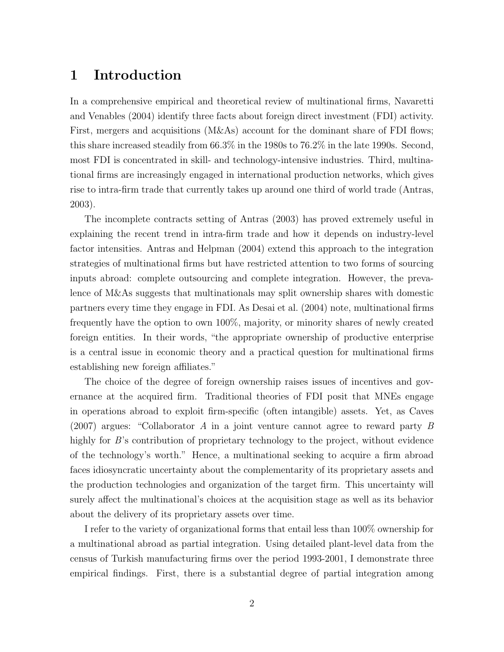## 1 Introduction

In a comprehensive empirical and theoretical review of multinational firms, Navaretti and Venables (2004) identify three facts about foreign direct investment (FDI) activity. First, mergers and acquisitions (M&As) account for the dominant share of FDI flows; this share increased steadily from 66.3% in the 1980s to 76.2% in the late 1990s. Second, most FDI is concentrated in skill- and technology-intensive industries. Third, multinational firms are increasingly engaged in international production networks, which gives rise to intra-firm trade that currently takes up around one third of world trade (Antras, 2003).

The incomplete contracts setting of Antras (2003) has proved extremely useful in explaining the recent trend in intra-firm trade and how it depends on industry-level factor intensities. Antras and Helpman (2004) extend this approach to the integration strategies of multinational firms but have restricted attention to two forms of sourcing inputs abroad: complete outsourcing and complete integration. However, the prevalence of M&As suggests that multinationals may split ownership shares with domestic partners every time they engage in FDI. As Desai et al. (2004) note, multinational firms frequently have the option to own 100%, majority, or minority shares of newly created foreign entities. In their words, "the appropriate ownership of productive enterprise is a central issue in economic theory and a practical question for multinational firms establishing new foreign affiliates."

The choice of the degree of foreign ownership raises issues of incentives and governance at the acquired firm. Traditional theories of FDI posit that MNEs engage in operations abroad to exploit firm-specific (often intangible) assets. Yet, as Caves (2007) argues: "Collaborator A in a joint venture cannot agree to reward party B highly for B's contribution of proprietary technology to the project, without evidence of the technology's worth." Hence, a multinational seeking to acquire a firm abroad faces idiosyncratic uncertainty about the complementarity of its proprietary assets and the production technologies and organization of the target firm. This uncertainty will surely affect the multinational's choices at the acquisition stage as well as its behavior about the delivery of its proprietary assets over time.

I refer to the variety of organizational forms that entail less than 100% ownership for a multinational abroad as partial integration. Using detailed plant-level data from the census of Turkish manufacturing firms over the period 1993-2001, I demonstrate three empirical findings. First, there is a substantial degree of partial integration among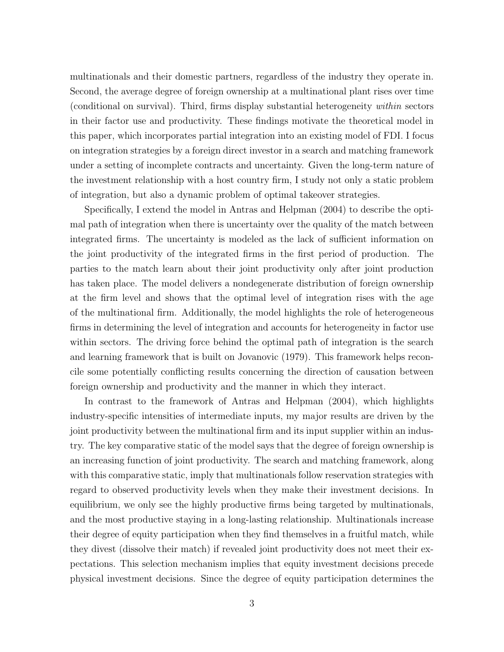multinationals and their domestic partners, regardless of the industry they operate in. Second, the average degree of foreign ownership at a multinational plant rises over time (conditional on survival). Third, firms display substantial heterogeneity within sectors in their factor use and productivity. These findings motivate the theoretical model in this paper, which incorporates partial integration into an existing model of FDI. I focus on integration strategies by a foreign direct investor in a search and matching framework under a setting of incomplete contracts and uncertainty. Given the long-term nature of the investment relationship with a host country firm, I study not only a static problem of integration, but also a dynamic problem of optimal takeover strategies.

Specifically, I extend the model in Antras and Helpman (2004) to describe the optimal path of integration when there is uncertainty over the quality of the match between integrated firms. The uncertainty is modeled as the lack of sufficient information on the joint productivity of the integrated firms in the first period of production. The parties to the match learn about their joint productivity only after joint production has taken place. The model delivers a nondegenerate distribution of foreign ownership at the firm level and shows that the optimal level of integration rises with the age of the multinational firm. Additionally, the model highlights the role of heterogeneous firms in determining the level of integration and accounts for heterogeneity in factor use within sectors. The driving force behind the optimal path of integration is the search and learning framework that is built on Jovanovic (1979). This framework helps reconcile some potentially conflicting results concerning the direction of causation between foreign ownership and productivity and the manner in which they interact.

In contrast to the framework of Antras and Helpman (2004), which highlights industry-specific intensities of intermediate inputs, my major results are driven by the joint productivity between the multinational firm and its input supplier within an industry. The key comparative static of the model says that the degree of foreign ownership is an increasing function of joint productivity. The search and matching framework, along with this comparative static, imply that multinationals follow reservation strategies with regard to observed productivity levels when they make their investment decisions. In equilibrium, we only see the highly productive firms being targeted by multinationals, and the most productive staying in a long-lasting relationship. Multinationals increase their degree of equity participation when they find themselves in a fruitful match, while they divest (dissolve their match) if revealed joint productivity does not meet their expectations. This selection mechanism implies that equity investment decisions precede physical investment decisions. Since the degree of equity participation determines the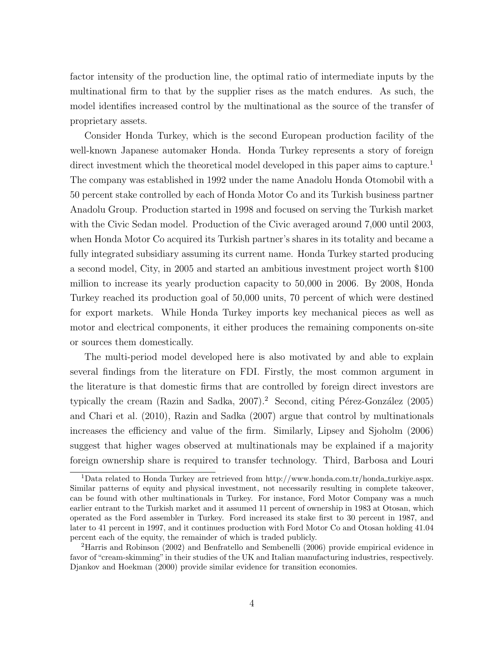factor intensity of the production line, the optimal ratio of intermediate inputs by the multinational firm to that by the supplier rises as the match endures. As such, the model identifies increased control by the multinational as the source of the transfer of proprietary assets.

Consider Honda Turkey, which is the second European production facility of the well-known Japanese automaker Honda. Honda Turkey represents a story of foreign direct investment which the theoretical model developed in this paper aims to capture.<sup>1</sup> The company was established in 1992 under the name Anadolu Honda Otomobil with a 50 percent stake controlled by each of Honda Motor Co and its Turkish business partner Anadolu Group. Production started in 1998 and focused on serving the Turkish market with the Civic Sedan model. Production of the Civic averaged around 7,000 until 2003, when Honda Motor Co acquired its Turkish partner's shares in its totality and became a fully integrated subsidiary assuming its current name. Honda Turkey started producing a second model, City, in 2005 and started an ambitious investment project worth \$100 million to increase its yearly production capacity to 50,000 in 2006. By 2008, Honda Turkey reached its production goal of 50,000 units, 70 percent of which were destined for export markets. While Honda Turkey imports key mechanical pieces as well as motor and electrical components, it either produces the remaining components on-site or sources them domestically.

The multi-period model developed here is also motivated by and able to explain several findings from the literature on FDI. Firstly, the most common argument in the literature is that domestic firms that are controlled by foreign direct investors are typically the cream (Razin and Sadka, 2007).<sup>2</sup> Second, citing Pérez-González (2005) and Chari et al. (2010), Razin and Sadka (2007) argue that control by multinationals increases the efficiency and value of the firm. Similarly, Lipsey and Sjoholm (2006) suggest that higher wages observed at multinationals may be explained if a majority foreign ownership share is required to transfer technology. Third, Barbosa and Louri

<sup>&</sup>lt;sup>1</sup>Data related to Honda Turkey are retrieved from http://www.honda.com.tr/honda\_turkiye.aspx. Similar patterns of equity and physical investment, not necessarily resulting in complete takeover, can be found with other multinationals in Turkey. For instance, Ford Motor Company was a much earlier entrant to the Turkish market and it assumed 11 percent of ownership in 1983 at Otosan, which operated as the Ford assembler in Turkey. Ford increased its stake first to 30 percent in 1987, and later to 41 percent in 1997, and it continues production with Ford Motor Co and Otosan holding 41.04 percent each of the equity, the remainder of which is traded publicly.

<sup>2</sup>Harris and Robinson (2002) and Benfratello and Sembenelli (2006) provide empirical evidence in favor of "cream-skimming"in their studies of the UK and Italian manufacturing industries, respectively. Djankov and Hoekman (2000) provide similar evidence for transition economies.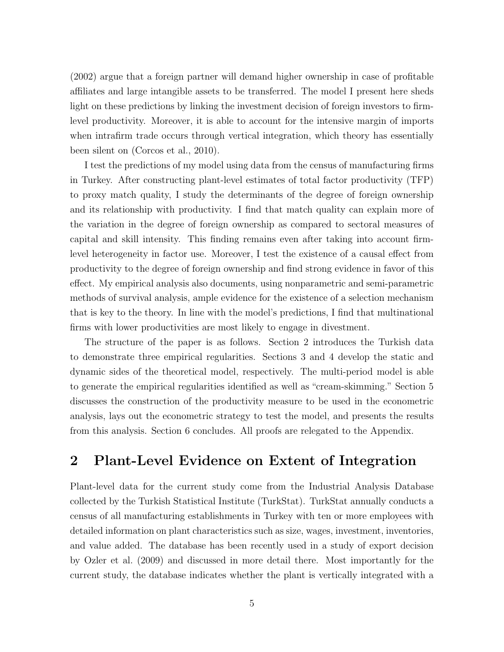(2002) argue that a foreign partner will demand higher ownership in case of profitable affiliates and large intangible assets to be transferred. The model I present here sheds light on these predictions by linking the investment decision of foreign investors to firmlevel productivity. Moreover, it is able to account for the intensive margin of imports when intrafirm trade occurs through vertical integration, which theory has essentially been silent on (Corcos et al., 2010).

I test the predictions of my model using data from the census of manufacturing firms in Turkey. After constructing plant-level estimates of total factor productivity (TFP) to proxy match quality, I study the determinants of the degree of foreign ownership and its relationship with productivity. I find that match quality can explain more of the variation in the degree of foreign ownership as compared to sectoral measures of capital and skill intensity. This finding remains even after taking into account firmlevel heterogeneity in factor use. Moreover, I test the existence of a causal effect from productivity to the degree of foreign ownership and find strong evidence in favor of this effect. My empirical analysis also documents, using nonparametric and semi-parametric methods of survival analysis, ample evidence for the existence of a selection mechanism that is key to the theory. In line with the model's predictions, I find that multinational firms with lower productivities are most likely to engage in divestment.

The structure of the paper is as follows. Section 2 introduces the Turkish data to demonstrate three empirical regularities. Sections 3 and 4 develop the static and dynamic sides of the theoretical model, respectively. The multi-period model is able to generate the empirical regularities identified as well as "cream-skimming." Section 5 discusses the construction of the productivity measure to be used in the econometric analysis, lays out the econometric strategy to test the model, and presents the results from this analysis. Section 6 concludes. All proofs are relegated to the Appendix.

## 2 Plant-Level Evidence on Extent of Integration

Plant-level data for the current study come from the Industrial Analysis Database collected by the Turkish Statistical Institute (TurkStat). TurkStat annually conducts a census of all manufacturing establishments in Turkey with ten or more employees with detailed information on plant characteristics such as size, wages, investment, inventories, and value added. The database has been recently used in a study of export decision by Ozler et al. (2009) and discussed in more detail there. Most importantly for the current study, the database indicates whether the plant is vertically integrated with a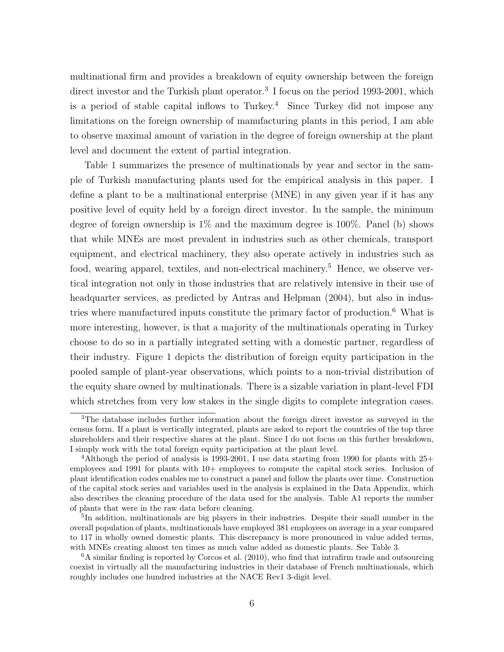multinational firm and provides a breakdown of equity ownership between the foreign direct investor and the Turkish plant operator.<sup>3</sup> I focus on the period 1993-2001, which is a period of stable capital inflows to  $Turkey.<sup>4</sup>$  Since  $Turkey$  did not impose any limitations on the foreign ownership of manufacturing plants in this period, I am able to observe maximal amount of variation in the degree of foreign ownership at the plant level and document the extent of partial integration.

Table 1 summarizes the presence of multinationals by year and sector in the sample of Turkish manufacturing plants used for the empirical analysis in this paper. I define a plant to be a multinational enterprise (MNE) in any given year if it has any positive level of equity held by a foreign direct investor. In the sample, the minimum degree of foreign ownership is  $1\%$  and the maximum degree is  $100\%$ . Panel (b) shows that while MNEs are most prevalent in industries such as other chemicals, transport equipment, and electrical machinery, they also operate actively in industries such as food, wearing apparel, textiles, and non-electrical machinery.<sup>5</sup> Hence, we observe vertical integration not only in those industries that are relatively intensive in their use of headquarter services, as predicted by Antras and Helpman  $(2004)$ , but also in industries where manufactured inputs constitute the primary factor of production.<sup>6</sup> What is more interesting, however, is that a majority of the multinationals operating in Turkey choose to do so in a partially integrated setting with a domestic partner, regardless of their industry. Figure 1 depicts the distribution of foreign equity participation in the pooled sample of plant-year observations, which points to a non-trivial distribution of the equity share owned by multinationals. There is a sizable variation in plant-level FDI which stretches from very low stakes in the single digits to complete integration cases.

<sup>3</sup>The database includes further information about the foreign direct investor as surveyed in the census form. If a plant is vertically integrated, plants are asked to report the countries of the top three shareholders and their respective shares at the plant. Since I do not focus on this further breakdown, I simply work with the total foreign equity participation at the plant level.

<sup>&</sup>lt;sup>4</sup>Although the period of analysis is 1993-2001, I use data starting from 1990 for plants with  $25+$ employees and 1991 for plants with 10+ employees to compute the capital stock series. Inclusion of plant identification codes enables me to construct a panel and follow the plants over time. Construction of the capital stock series and variables used in the analysis is explained in the Data Appendix, which also describes the cleaning procedure of the data used for the analysis. Table A1 reports the number of plants that were in the raw data before cleaning.

<sup>&</sup>lt;sup>5</sup>In addition, multinationals are big players in their industries. Despite their small number in the overall population of plants, multinationals have employed 381 employees on average in a year compared to 117 in wholly owned domestic plants. This discrepancy is more pronounced in value added terms, with MNEs creating almost ten times as much value added as domestic plants. See Table 3.

 ${}^{6}$ A similar finding is reported by Corcos et al. (2010), who find that intrafirm trade and outsourcing coexist in virtually all the manufacturing industries in their database of French multinationals, which roughly includes one hundred industries at the NACE Rev1 3-digit level.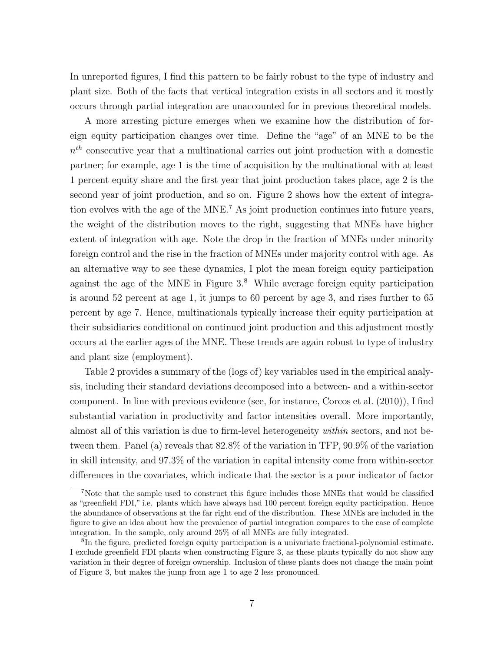In unreported figures, I find this pattern to be fairly robust to the type of industry and plant size. Both of the facts that vertical integration exists in all sectors and it mostly occurs through partial integration are unaccounted for in previous theoretical models.

A more arresting picture emerges when we examine how the distribution of foreign equity participation changes over time. Define the "age" of an MNE to be the  $n<sup>th</sup>$  consecutive year that a multinational carries out joint production with a domestic partner; for example, age 1 is the time of acquisition by the multinational with at least 1 percent equity share and the first year that joint production takes place, age 2 is the second year of joint production, and so on. Figure 2 shows how the extent of integration evolves with the age of the MNE.<sup>7</sup> As joint production continues into future years, the weight of the distribution moves to the right, suggesting that MNEs have higher extent of integration with age. Note the drop in the fraction of MNEs under minority foreign control and the rise in the fraction of MNEs under majority control with age. As an alternative way to see these dynamics, I plot the mean foreign equity participation against the age of the MNE in Figure  $3<sup>8</sup>$  While average foreign equity participation is around 52 percent at age 1, it jumps to 60 percent by age 3, and rises further to 65 percent by age 7. Hence, multinationals typically increase their equity participation at their subsidiaries conditional on continued joint production and this adjustment mostly occurs at the earlier ages of the MNE. These trends are again robust to type of industry and plant size (employment).

Table 2 provides a summary of the (logs of) key variables used in the empirical analysis, including their standard deviations decomposed into a between- and a within-sector component. In line with previous evidence (see, for instance, Corcos et al. (2010)), I find substantial variation in productivity and factor intensities overall. More importantly, almost all of this variation is due to firm-level heterogeneity within sectors, and not between them. Panel (a) reveals that 82.8% of the variation in TFP, 90.9% of the variation in skill intensity, and 97.3% of the variation in capital intensity come from within-sector differences in the covariates, which indicate that the sector is a poor indicator of factor

<sup>7</sup>Note that the sample used to construct this figure includes those MNEs that would be classified as "greenfield FDI," i.e. plants which have always had 100 percent foreign equity participation. Hence the abundance of observations at the far right end of the distribution. These MNEs are included in the figure to give an idea about how the prevalence of partial integration compares to the case of complete integration. In the sample, only around 25% of all MNEs are fully integrated.

<sup>&</sup>lt;sup>8</sup>In the figure, predicted foreign equity participation is a univariate fractional-polynomial estimate. I exclude greenfield FDI plants when constructing Figure 3, as these plants typically do not show any variation in their degree of foreign ownership. Inclusion of these plants does not change the main point of Figure 3, but makes the jump from age 1 to age 2 less pronounced.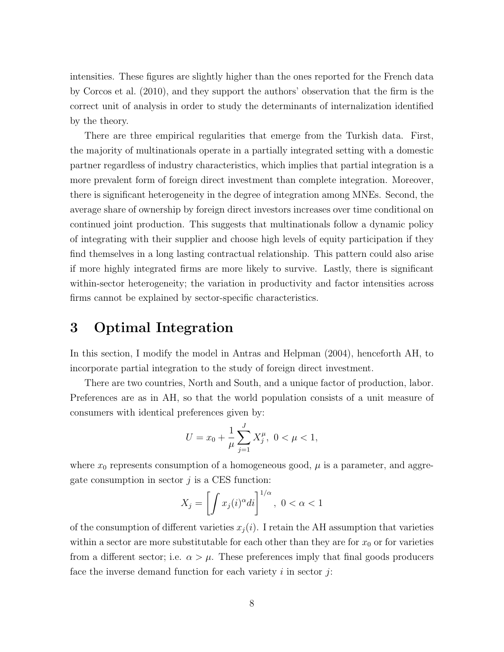intensities. These figures are slightly higher than the ones reported for the French data by Corcos et al. (2010), and they support the authors' observation that the firm is the correct unit of analysis in order to study the determinants of internalization identified by the theory.

There are three empirical regularities that emerge from the Turkish data. First, the majority of multinationals operate in a partially integrated setting with a domestic partner regardless of industry characteristics, which implies that partial integration is a more prevalent form of foreign direct investment than complete integration. Moreover, there is significant heterogeneity in the degree of integration among MNEs. Second, the average share of ownership by foreign direct investors increases over time conditional on continued joint production. This suggests that multinationals follow a dynamic policy of integrating with their supplier and choose high levels of equity participation if they find themselves in a long lasting contractual relationship. This pattern could also arise if more highly integrated firms are more likely to survive. Lastly, there is significant within-sector heterogeneity; the variation in productivity and factor intensities across firms cannot be explained by sector-specific characteristics.

## 3 Optimal Integration

In this section, I modify the model in Antras and Helpman (2004), henceforth AH, to incorporate partial integration to the study of foreign direct investment.

There are two countries, North and South, and a unique factor of production, labor. Preferences are as in AH, so that the world population consists of a unit measure of consumers with identical preferences given by:

$$
U = x_0 + \frac{1}{\mu} \sum_{j=1}^{J} X_j^{\mu}, \ 0 < \mu < 1,
$$

where  $x_0$  represents consumption of a homogeneous good,  $\mu$  is a parameter, and aggregate consumption in sector  $j$  is a CES function:

$$
X_j = \left[ \int x_j(i)^{\alpha} di \right]^{1/\alpha}, \ 0 < \alpha < 1
$$

of the consumption of different varieties  $x_j(i)$ . I retain the AH assumption that varieties within a sector are more substitutable for each other than they are for  $x_0$  or for varieties from a different sector; i.e.  $\alpha > \mu$ . These preferences imply that final goods producers face the inverse demand function for each variety  $i$  in sector  $j$ :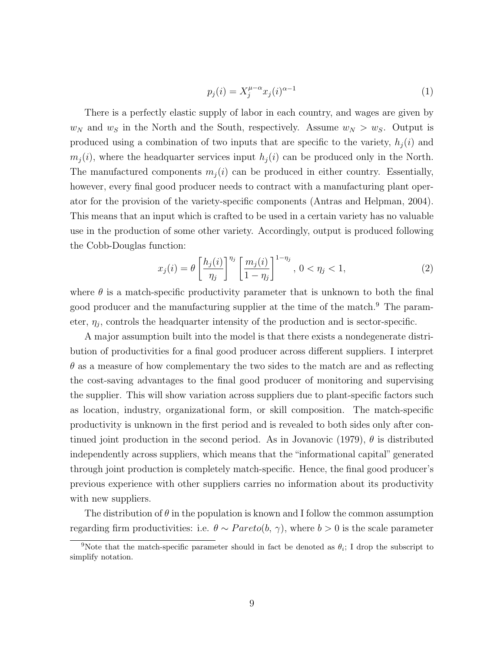$$
p_j(i) = X_j^{\mu - \alpha} x_j(i)^{\alpha - 1} \tag{1}
$$

There is a perfectly elastic supply of labor in each country, and wages are given by  $w_N$  and  $w_S$  in the North and the South, respectively. Assume  $w_N > w_S$ . Output is produced using a combination of two inputs that are specific to the variety,  $h_i(i)$  and  $m_j(i)$ , where the headquarter services input  $h_j(i)$  can be produced only in the North. The manufactured components  $m_i(i)$  can be produced in either country. Essentially, however, every final good producer needs to contract with a manufacturing plant operator for the provision of the variety-specific components (Antras and Helpman, 2004). This means that an input which is crafted to be used in a certain variety has no valuable use in the production of some other variety. Accordingly, output is produced following the Cobb-Douglas function:

$$
x_j(i) = \theta \left[\frac{h_j(i)}{\eta_j}\right]^{\eta_j} \left[\frac{m_j(i)}{1-\eta_j}\right]^{1-\eta_j}, 0 < \eta_j < 1,
$$
\n
$$
(2)
$$

where  $\theta$  is a match-specific productivity parameter that is unknown to both the final good producer and the manufacturing supplier at the time of the match.<sup>9</sup> The parameter,  $\eta_j$ , controls the headquarter intensity of the production and is sector-specific.

A major assumption built into the model is that there exists a nondegenerate distribution of productivities for a final good producer across different suppliers. I interpret  $\theta$  as a measure of how complementary the two sides to the match are and as reflecting the cost-saving advantages to the final good producer of monitoring and supervising the supplier. This will show variation across suppliers due to plant-specific factors such as location, industry, organizational form, or skill composition. The match-specific productivity is unknown in the first period and is revealed to both sides only after continued joint production in the second period. As in Jovanovic (1979),  $\theta$  is distributed independently across suppliers, which means that the "informational capital" generated through joint production is completely match-specific. Hence, the final good producer's previous experience with other suppliers carries no information about its productivity with new suppliers.

The distribution of  $\theta$  in the population is known and I follow the common assumption regarding firm productivities: i.e.  $\theta \sim Pareto(b, \gamma)$ , where  $b > 0$  is the scale parameter

<sup>&</sup>lt;sup>9</sup>Note that the match-specific parameter should in fact be denoted as  $\theta_i$ ; I drop the subscript to simplify notation.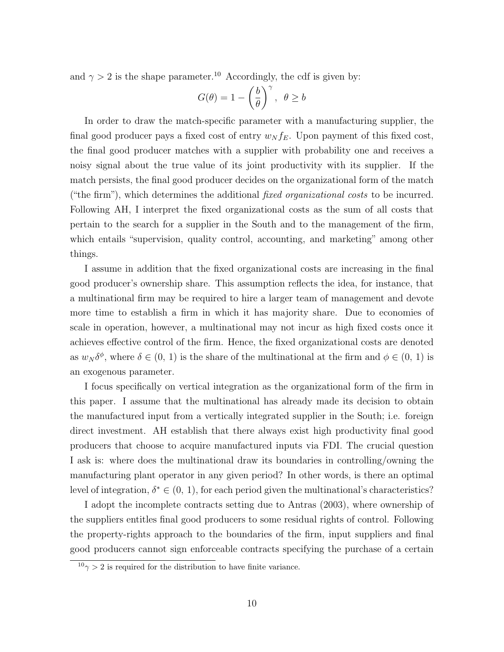and  $\gamma > 2$  is the shape parameter.<sup>10</sup> Accordingly, the cdf is given by:

$$
G(\theta) = 1 - \left(\frac{b}{\theta}\right)^{\gamma}, \ \theta \ge b
$$

In order to draw the match-specific parameter with a manufacturing supplier, the final good producer pays a fixed cost of entry  $w_N f_E$ . Upon payment of this fixed cost, the final good producer matches with a supplier with probability one and receives a noisy signal about the true value of its joint productivity with its supplier. If the match persists, the final good producer decides on the organizational form of the match ("the firm"), which determines the additional *fixed organizational costs* to be incurred. Following AH, I interpret the fixed organizational costs as the sum of all costs that pertain to the search for a supplier in the South and to the management of the firm, which entails "supervision, quality control, accounting, and marketing" among other things.

I assume in addition that the fixed organizational costs are increasing in the final good producer's ownership share. This assumption reflects the idea, for instance, that a multinational firm may be required to hire a larger team of management and devote more time to establish a firm in which it has majority share. Due to economies of scale in operation, however, a multinational may not incur as high fixed costs once it achieves effective control of the firm. Hence, the fixed organizational costs are denoted as  $w_N \delta^{\phi}$ , where  $\delta \in (0, 1)$  is the share of the multinational at the firm and  $\phi \in (0, 1)$  is an exogenous parameter.

I focus specifically on vertical integration as the organizational form of the firm in this paper. I assume that the multinational has already made its decision to obtain the manufactured input from a vertically integrated supplier in the South; i.e. foreign direct investment. AH establish that there always exist high productivity final good producers that choose to acquire manufactured inputs via FDI. The crucial question I ask is: where does the multinational draw its boundaries in controlling/owning the manufacturing plant operator in any given period? In other words, is there an optimal level of integration,  $\delta^* \in (0, 1)$ , for each period given the multinational's characteristics?

I adopt the incomplete contracts setting due to Antras (2003), where ownership of the suppliers entitles final good producers to some residual rights of control. Following the property-rights approach to the boundaries of the firm, input suppliers and final good producers cannot sign enforceable contracts specifying the purchase of a certain

 $10<sub>\gamma</sub> > 2$  is required for the distribution to have finite variance.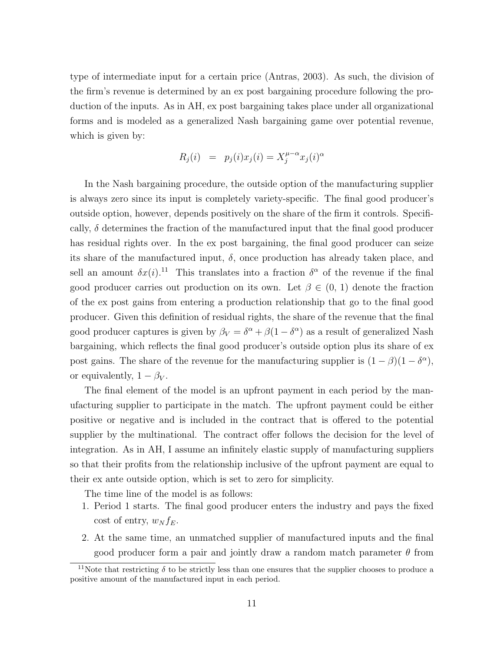type of intermediate input for a certain price (Antras, 2003). As such, the division of the firm's revenue is determined by an ex post bargaining procedure following the production of the inputs. As in AH, ex post bargaining takes place under all organizational forms and is modeled as a generalized Nash bargaining game over potential revenue, which is given by:

$$
R_j(i) = p_j(i)x_j(i) = X_j^{\mu-\alpha} x_j(i)^{\alpha}
$$

In the Nash bargaining procedure, the outside option of the manufacturing supplier is always zero since its input is completely variety-specific. The final good producer's outside option, however, depends positively on the share of the firm it controls. Specifically,  $\delta$  determines the fraction of the manufactured input that the final good producer has residual rights over. In the ex post bargaining, the final good producer can seize its share of the manufactured input,  $\delta$ , once production has already taken place, and sell an amount  $\delta x(i)$ .<sup>11</sup> This translates into a fraction  $\delta^{\alpha}$  of the revenue if the final good producer carries out production on its own. Let  $\beta \in (0, 1)$  denote the fraction of the ex post gains from entering a production relationship that go to the final good producer. Given this definition of residual rights, the share of the revenue that the final good producer captures is given by  $\beta_V = \delta^{\alpha} + \beta(1 - \delta^{\alpha})$  as a result of generalized Nash bargaining, which reflects the final good producer's outside option plus its share of ex post gains. The share of the revenue for the manufacturing supplier is  $(1 - \beta)(1 - \delta^{\alpha})$ , or equivalently,  $1 - \beta_V$ .

The final element of the model is an upfront payment in each period by the manufacturing supplier to participate in the match. The upfront payment could be either positive or negative and is included in the contract that is offered to the potential supplier by the multinational. The contract offer follows the decision for the level of integration. As in AH, I assume an infinitely elastic supply of manufacturing suppliers so that their profits from the relationship inclusive of the upfront payment are equal to their ex ante outside option, which is set to zero for simplicity.

The time line of the model is as follows:

- 1. Period 1 starts. The final good producer enters the industry and pays the fixed cost of entry,  $w_N f_E$ .
- 2. At the same time, an unmatched supplier of manufactured inputs and the final good producer form a pair and jointly draw a random match parameter  $\theta$  from

<sup>&</sup>lt;sup>11</sup>Note that restricting  $\delta$  to be strictly less than one ensures that the supplier chooses to produce a positive amount of the manufactured input in each period.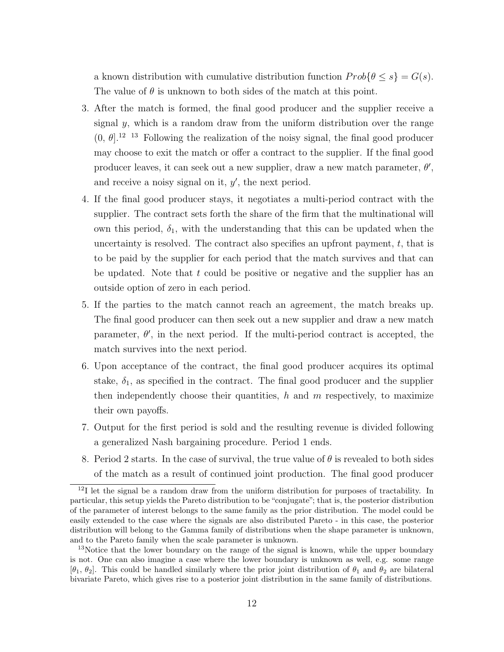a known distribution with cumulative distribution function  $Prob{\theta \leq s} = G(s)$ . The value of  $\theta$  is unknown to both sides of the match at this point.

- 3. After the match is formed, the final good producer and the supplier receive a signal  $y$ , which is a random draw from the uniform distribution over the range  $(0, \theta]$ .<sup>12</sup> <sup>13</sup> Following the realization of the noisy signal, the final good producer may choose to exit the match or offer a contract to the supplier. If the final good producer leaves, it can seek out a new supplier, draw a new match parameter,  $\theta'$ , and receive a noisy signal on it,  $y'$ , the next period.
- 4. If the final good producer stays, it negotiates a multi-period contract with the supplier. The contract sets forth the share of the firm that the multinational will own this period,  $\delta_1$ , with the understanding that this can be updated when the uncertainty is resolved. The contract also specifies an upfront payment,  $t$ , that is to be paid by the supplier for each period that the match survives and that can be updated. Note that t could be positive or negative and the supplier has an outside option of zero in each period.
- 5. If the parties to the match cannot reach an agreement, the match breaks up. The final good producer can then seek out a new supplier and draw a new match parameter,  $\theta'$ , in the next period. If the multi-period contract is accepted, the match survives into the next period.
- 6. Upon acceptance of the contract, the final good producer acquires its optimal stake,  $\delta_1$ , as specified in the contract. The final good producer and the supplier then independently choose their quantities,  $h$  and  $m$  respectively, to maximize their own payoffs.
- 7. Output for the first period is sold and the resulting revenue is divided following a generalized Nash bargaining procedure. Period 1 ends.
- 8. Period 2 starts. In the case of survival, the true value of  $\theta$  is revealed to both sides of the match as a result of continued joint production. The final good producer

<sup>&</sup>lt;sup>12</sup>I let the signal be a random draw from the uniform distribution for purposes of tractability. In particular, this setup yields the Pareto distribution to be "conjugate"; that is, the posterior distribution of the parameter of interest belongs to the same family as the prior distribution. The model could be easily extended to the case where the signals are also distributed Pareto - in this case, the posterior distribution will belong to the Gamma family of distributions when the shape parameter is unknown, and to the Pareto family when the scale parameter is unknown.

<sup>&</sup>lt;sup>13</sup>Notice that the lower boundary on the range of the signal is known, while the upper boundary is not. One can also imagine a case where the lower boundary is unknown as well, e.g. some range  $[\theta_1, \theta_2]$ . This could be handled similarly where the prior joint distribution of  $\theta_1$  and  $\theta_2$  are bilateral bivariate Pareto, which gives rise to a posterior joint distribution in the same family of distributions.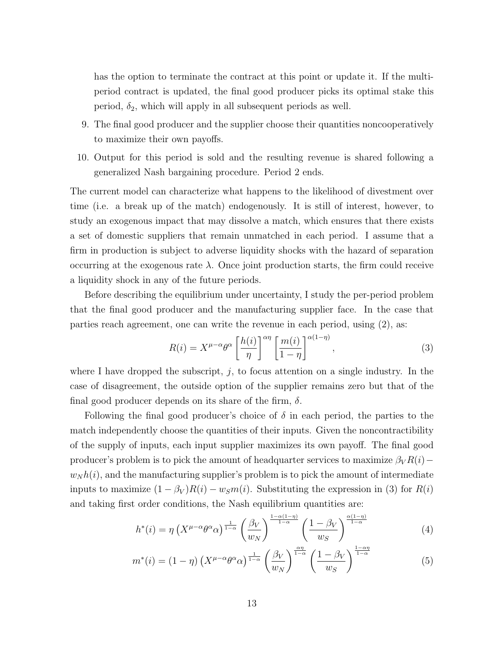has the option to terminate the contract at this point or update it. If the multiperiod contract is updated, the final good producer picks its optimal stake this period,  $\delta_2$ , which will apply in all subsequent periods as well.

- 9. The final good producer and the supplier choose their quantities noncooperatively to maximize their own payoffs.
- 10. Output for this period is sold and the resulting revenue is shared following a generalized Nash bargaining procedure. Period 2 ends.

The current model can characterize what happens to the likelihood of divestment over time (i.e. a break up of the match) endogenously. It is still of interest, however, to study an exogenous impact that may dissolve a match, which ensures that there exists a set of domestic suppliers that remain unmatched in each period. I assume that a firm in production is subject to adverse liquidity shocks with the hazard of separation occurring at the exogenous rate  $\lambda$ . Once joint production starts, the firm could receive a liquidity shock in any of the future periods.

Before describing the equilibrium under uncertainty, I study the per-period problem that the final good producer and the manufacturing supplier face. In the case that parties reach agreement, one can write the revenue in each period, using (2), as:

$$
R(i) = X^{\mu - \alpha} \theta^{\alpha} \left[ \frac{h(i)}{\eta} \right]^{\alpha \eta} \left[ \frac{m(i)}{1 - \eta} \right]^{\alpha (1 - \eta)}, \tag{3}
$$

where I have dropped the subscript,  $j$ , to focus attention on a single industry. In the case of disagreement, the outside option of the supplier remains zero but that of the final good producer depends on its share of the firm,  $\delta$ .

Following the final good producer's choice of  $\delta$  in each period, the parties to the match independently choose the quantities of their inputs. Given the noncontractibility of the supply of inputs, each input supplier maximizes its own payoff. The final good producer's problem is to pick the amount of headquarter services to maximize  $\beta_V R(i)$  –  $w_N h(i)$ , and the manufacturing supplier's problem is to pick the amount of intermediate inputs to maximize  $(1 - \beta_V)R(i) - w_Sm(i)$ . Substituting the expression in (3) for  $R(i)$ and taking first order conditions, the Nash equilibrium quantities are:

$$
h^*(i) = \eta \left(X^{\mu-\alpha}\theta^{\alpha}\alpha\right)^{\frac{1}{1-\alpha}} \left(\frac{\beta_V}{w_N}\right)^{\frac{1-\alpha(1-\eta)}{1-\alpha}} \left(\frac{1-\beta_V}{w_S}\right)^{\frac{\alpha(1-\eta)}{1-\alpha}}
$$
(4)

$$
m^*(i) = (1 - \eta) \left( X^{\mu - \alpha} \theta^{\alpha} \alpha \right)^{\frac{1}{1 - \alpha}} \left( \frac{\beta_V}{w_N} \right)^{\frac{\alpha \eta}{1 - \alpha}} \left( \frac{1 - \beta_V}{w_S} \right)^{\frac{1 - \alpha \eta}{1 - \alpha}}
$$
(5)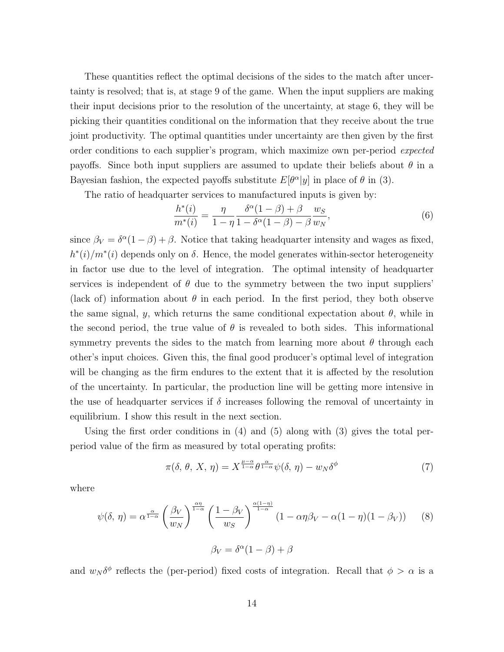These quantities reflect the optimal decisions of the sides to the match after uncertainty is resolved; that is, at stage 9 of the game. When the input suppliers are making their input decisions prior to the resolution of the uncertainty, at stage 6, they will be picking their quantities conditional on the information that they receive about the true joint productivity. The optimal quantities under uncertainty are then given by the first order conditions to each supplier's program, which maximize own per-period expected payoffs. Since both input suppliers are assumed to update their beliefs about  $\theta$  in a Bayesian fashion, the expected payoffs substitute  $E[\theta^{\alpha}|y]$  in place of  $\theta$  in (3).

The ratio of headquarter services to manufactured inputs is given by:

$$
\frac{h^*(i)}{m^*(i)} = \frac{\eta}{1-\eta} \frac{\delta^{\alpha}(1-\beta)+\beta}{1-\delta^{\alpha}(1-\beta)-\beta} \frac{w_S}{w_N},\tag{6}
$$

since  $\beta_V = \delta^{\alpha}(1-\beta) + \beta$ . Notice that taking headquarter intensity and wages as fixed,  $h^{*}(i)/m^{*}(i)$  depends only on  $\delta$ . Hence, the model generates within-sector heterogeneity in factor use due to the level of integration. The optimal intensity of headquarter services is independent of  $\theta$  due to the symmetry between the two input suppliers' (lack of) information about  $\theta$  in each period. In the first period, they both observe the same signal, y, which returns the same conditional expectation about  $\theta$ , while in the second period, the true value of  $\theta$  is revealed to both sides. This informational symmetry prevents the sides to the match from learning more about  $\theta$  through each other's input choices. Given this, the final good producer's optimal level of integration will be changing as the firm endures to the extent that it is affected by the resolution of the uncertainty. In particular, the production line will be getting more intensive in the use of headquarter services if  $\delta$  increases following the removal of uncertainty in equilibrium. I show this result in the next section.

Using the first order conditions in (4) and (5) along with (3) gives the total perperiod value of the firm as measured by total operating profits:

$$
\pi(\delta, \theta, X, \eta) = X^{\frac{\mu-\alpha}{1-\alpha}} \theta^{\frac{\alpha}{1-\alpha}} \psi(\delta, \eta) - w_N \delta^{\phi}
$$
\n<sup>(7)</sup>

where

$$
\psi(\delta,\,\eta) = \alpha^{\frac{\alpha}{1-\alpha}} \left(\frac{\beta_V}{w_N}\right)^{\frac{\alpha\eta}{1-\alpha}} \left(\frac{1-\beta_V}{w_S}\right)^{\frac{\alpha(1-\eta)}{1-\alpha}} \left(1-\alpha\eta\beta_V - \alpha(1-\eta)(1-\beta_V)\right) \tag{8}
$$

$$
\beta_V = \delta^{\alpha} (1 - \beta) + \beta
$$

and  $w_N \delta^{\phi}$  reflects the (per-period) fixed costs of integration. Recall that  $\phi > \alpha$  is a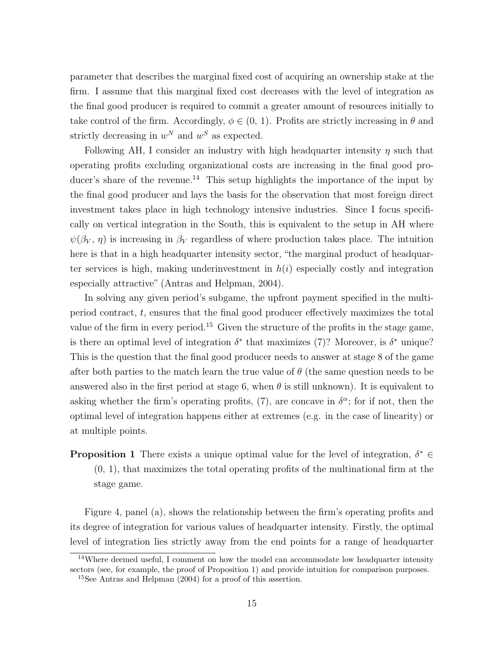parameter that describes the marginal fixed cost of acquiring an ownership stake at the firm. I assume that this marginal fixed cost decreases with the level of integration as the final good producer is required to commit a greater amount of resources initially to take control of the firm. Accordingly,  $\phi \in (0, 1)$ . Profits are strictly increasing in  $\theta$  and strictly decreasing in  $w^N$  and  $w^S$  as expected.

Following AH, I consider an industry with high headquarter intensity  $\eta$  such that operating profits excluding organizational costs are increasing in the final good producer's share of the revenue.<sup>14</sup> This setup highlights the importance of the input by the final good producer and lays the basis for the observation that most foreign direct investment takes place in high technology intensive industries. Since I focus specifically on vertical integration in the South, this is equivalent to the setup in AH where  $\psi(\beta_V, \eta)$  is increasing in  $\beta_V$  regardless of where production takes place. The intuition here is that in a high headquarter intensity sector, "the marginal product of headquarter services is high, making underinvestment in  $h(i)$  especially costly and integration especially attractive" (Antras and Helpman, 2004).

In solving any given period's subgame, the upfront payment specified in the multiperiod contract, t, ensures that the final good producer effectively maximizes the total value of the firm in every period.<sup>15</sup> Given the structure of the profits in the stage game, is there an optimal level of integration  $\delta^*$  that maximizes (7)? Moreover, is  $\delta^*$  unique? This is the question that the final good producer needs to answer at stage 8 of the game after both parties to the match learn the true value of  $\theta$  (the same question needs to be answered also in the first period at stage 6, when  $\theta$  is still unknown). It is equivalent to asking whether the firm's operating profits, (7), are concave in  $\delta^{\alpha}$ ; for if not, then the optimal level of integration happens either at extremes (e.g. in the case of linearity) or at multiple points.

**Proposition 1** There exists a unique optimal value for the level of integration,  $\delta^* \in$  $(0, 1)$ , that maximizes the total operating profits of the multinational firm at the stage game.

Figure 4, panel (a), shows the relationship between the firm's operating profits and its degree of integration for various values of headquarter intensity. Firstly, the optimal level of integration lies strictly away from the end points for a range of headquarter

<sup>&</sup>lt;sup>14</sup>Where deemed useful, I comment on how the model can accommodate low headquarter intensity sectors (see, for example, the proof of Proposition 1) and provide intuition for comparison purposes.

<sup>15</sup>See Antras and Helpman (2004) for a proof of this assertion.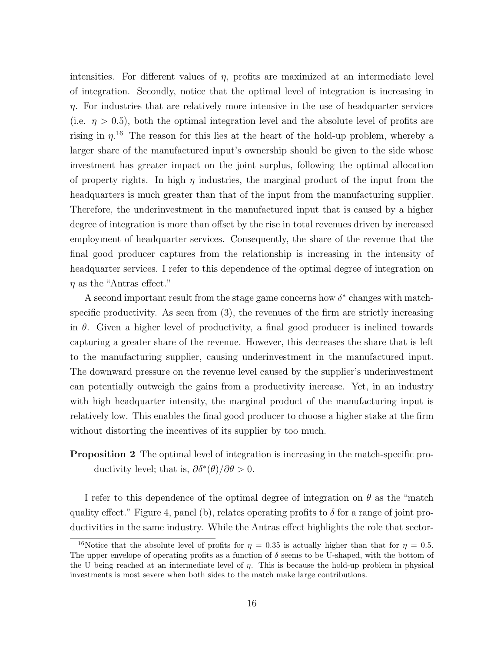intensities. For different values of  $\eta$ , profits are maximized at an intermediate level of integration. Secondly, notice that the optimal level of integration is increasing in  $\eta$ . For industries that are relatively more intensive in the use of headquarter services (i.e.  $\eta > 0.5$ ), both the optimal integration level and the absolute level of profits are rising in  $\eta$ <sup>16</sup>. The reason for this lies at the heart of the hold-up problem, whereby a larger share of the manufactured input's ownership should be given to the side whose investment has greater impact on the joint surplus, following the optimal allocation of property rights. In high  $\eta$  industries, the marginal product of the input from the headquarters is much greater than that of the input from the manufacturing supplier. Therefore, the underinvestment in the manufactured input that is caused by a higher degree of integration is more than offset by the rise in total revenues driven by increased employment of headquarter services. Consequently, the share of the revenue that the final good producer captures from the relationship is increasing in the intensity of headquarter services. I refer to this dependence of the optimal degree of integration on  $\eta$  as the "Antras effect."

A second important result from the stage game concerns how  $\delta^*$  changes with matchspecific productivity. As seen from (3), the revenues of the firm are strictly increasing in  $\theta$ . Given a higher level of productivity, a final good producer is inclined towards capturing a greater share of the revenue. However, this decreases the share that is left to the manufacturing supplier, causing underinvestment in the manufactured input. The downward pressure on the revenue level caused by the supplier's underinvestment can potentially outweigh the gains from a productivity increase. Yet, in an industry with high headquarter intensity, the marginal product of the manufacturing input is relatively low. This enables the final good producer to choose a higher stake at the firm without distorting the incentives of its supplier by too much.

### **Proposition 2** The optimal level of integration is increasing in the match-specific productivity level; that is,  $\partial \delta^*(\theta)/\partial \theta > 0$ .

I refer to this dependence of the optimal degree of integration on  $\theta$  as the "match" quality effect." Figure 4, panel (b), relates operating profits to  $\delta$  for a range of joint productivities in the same industry. While the Antras effect highlights the role that sector-

<sup>&</sup>lt;sup>16</sup>Notice that the absolute level of profits for  $\eta = 0.35$  is actually higher than that for  $\eta = 0.5$ . The upper envelope of operating profits as a function of  $\delta$  seems to be U-shaped, with the bottom of the U being reached at an intermediate level of  $\eta$ . This is because the hold-up problem in physical investments is most severe when both sides to the match make large contributions.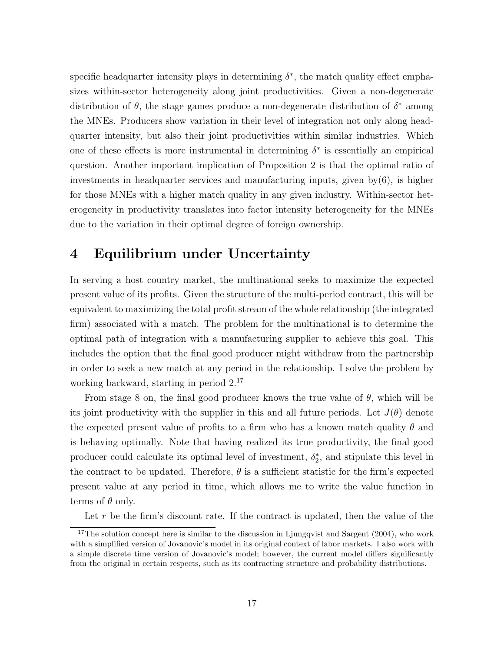specific headquarter intensity plays in determining  $\delta^*$ , the match quality effect emphasizes within-sector heterogeneity along joint productivities. Given a non-degenerate distribution of  $\theta$ , the stage games produce a non-degenerate distribution of  $\delta^*$  among the MNEs. Producers show variation in their level of integration not only along headquarter intensity, but also their joint productivities within similar industries. Which one of these effects is more instrumental in determining  $\delta^*$  is essentially an empirical question. Another important implication of Proposition 2 is that the optimal ratio of investments in headquarter services and manufacturing inputs, given by(6), is higher for those MNEs with a higher match quality in any given industry. Within-sector heterogeneity in productivity translates into factor intensity heterogeneity for the MNEs due to the variation in their optimal degree of foreign ownership.

## 4 Equilibrium under Uncertainty

In serving a host country market, the multinational seeks to maximize the expected present value of its profits. Given the structure of the multi-period contract, this will be equivalent to maximizing the total profit stream of the whole relationship (the integrated firm) associated with a match. The problem for the multinational is to determine the optimal path of integration with a manufacturing supplier to achieve this goal. This includes the option that the final good producer might withdraw from the partnership in order to seek a new match at any period in the relationship. I solve the problem by working backward, starting in period 2.<sup>17</sup>

From stage 8 on, the final good producer knows the true value of  $\theta$ , which will be its joint productivity with the supplier in this and all future periods. Let  $J(\theta)$  denote the expected present value of profits to a firm who has a known match quality  $\theta$  and is behaving optimally. Note that having realized its true productivity, the final good producer could calculate its optimal level of investment,  $\delta_2^*$ , and stipulate this level in the contract to be updated. Therefore,  $\theta$  is a sufficient statistic for the firm's expected present value at any period in time, which allows me to write the value function in terms of  $\theta$  only.

Let  $r$  be the firm's discount rate. If the contract is updated, then the value of the

<sup>&</sup>lt;sup>17</sup>The solution concept here is similar to the discussion in Ljungqvist and Sargent  $(2004)$ , who work with a simplified version of Jovanovic's model in its original context of labor markets. I also work with a simple discrete time version of Jovanovic's model; however, the current model differs significantly from the original in certain respects, such as its contracting structure and probability distributions.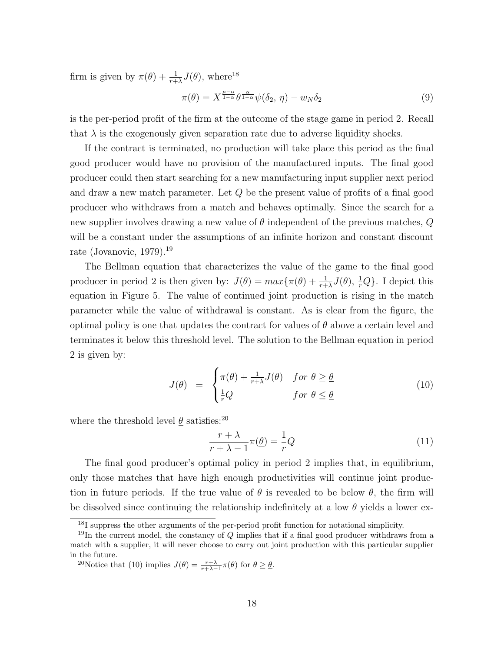firm is given by  $\pi(\theta) + \frac{1}{r+\lambda}J(\theta)$ , where<sup>18</sup>

$$
\pi(\theta) = X^{\frac{\mu-\alpha}{1-\alpha}} \theta^{\frac{\alpha}{1-\alpha}} \psi(\delta_2, \eta) - w_N \delta_2 \tag{9}
$$

is the per-period profit of the firm at the outcome of the stage game in period 2. Recall that  $\lambda$  is the exogenously given separation rate due to adverse liquidity shocks.

If the contract is terminated, no production will take place this period as the final good producer would have no provision of the manufactured inputs. The final good producer could then start searching for a new manufacturing input supplier next period and draw a new match parameter. Let Q be the present value of profits of a final good producer who withdraws from a match and behaves optimally. Since the search for a new supplier involves drawing a new value of  $\theta$  independent of the previous matches, Q will be a constant under the assumptions of an infinite horizon and constant discount rate (Jovanovic, 1979).<sup>19</sup>

The Bellman equation that characterizes the value of the game to the final good producer in period 2 is then given by:  $J(\theta) = max\{\pi(\theta) + \frac{1}{r+\lambda}J(\theta), \frac{1}{r}Q\}$ . I depict this equation in Figure 5. The value of continued joint production is rising in the match parameter while the value of withdrawal is constant. As is clear from the figure, the optimal policy is one that updates the contract for values of  $\theta$  above a certain level and terminates it below this threshold level. The solution to the Bellman equation in period 2 is given by:

$$
J(\theta) = \begin{cases} \pi(\theta) + \frac{1}{r+\lambda}J(\theta) & \text{for } \theta \ge \underline{\theta} \\ \frac{1}{r}Q & \text{for } \theta \le \underline{\theta} \end{cases}
$$
 (10)

where the threshold level  $\theta$  satisfies:<sup>20</sup>

$$
\frac{r+\lambda}{r+\lambda-1}\pi(\underline{\theta}) = \frac{1}{r}Q\tag{11}
$$

The final good producer's optimal policy in period 2 implies that, in equilibrium, only those matches that have high enough productivities will continue joint production in future periods. If the true value of  $\theta$  is revealed to be below  $\theta$ , the firm will be dissolved since continuing the relationship indefinitely at a low  $\theta$  yields a lower ex-

<sup>&</sup>lt;sup>18</sup>I suppress the other arguments of the per-period profit function for notational simplicity.

<sup>&</sup>lt;sup>19</sup>In the current model, the constancy of  $Q$  implies that if a final good producer withdraws from a match with a supplier, it will never choose to carry out joint production with this particular supplier in the future.

<sup>&</sup>lt;sup>20</sup>Notice that (10) implies  $J(\theta) = \frac{r+\lambda}{r+\lambda-1}\pi(\theta)$  for  $\theta \geq \theta$ .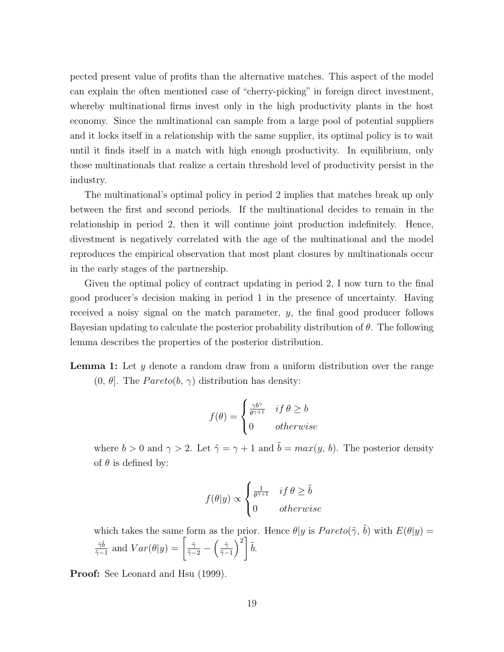pected present value of profits than the alternative matches. This aspect of the model can explain the often mentioned case of "cherry-picking" in foreign direct investment, whereby multinational firms invest only in the high productivity plants in the host economy. Since the multinational can sample from a large pool of potential suppliers and it locks itself in a relationship with the same supplier, its optimal policy is to wait until it finds itself in a match with high enough productivity. In equilibrium, only those multinationals that realize a certain threshold level of productivity persist in the industry.

The multinational's optimal policy in period 2 implies that matches break up only between the first and second periods. If the multinational decides to remain in the relationship in period 2, then it will continue joint production indefinitely. Hence, divestment is negatively correlated with the age of the multinational and the model reproduces the empirical observation that most plant closures by multinationals occur in the early stages of the partnership.

Given the optimal policy of contract updating in period 2, I now turn to the final good producer's decision making in period 1 in the presence of uncertainty. Having received a noisy signal on the match parameter, y, the final good producer follows Bayesian updating to calculate the posterior probability distribution of  $\theta$ . The following lemma describes the properties of the posterior distribution.

Lemma 1: Let y denote a random draw from a uniform distribution over the range  $(0, \theta]$ . The *Pareto* $(b, \gamma)$  distribution has density:

$$
f(\theta) = \begin{cases} \frac{\gamma b^{\gamma}}{\theta^{\gamma+1}} & \text{if } \theta \ge b \\ 0 & \text{otherwise} \end{cases}
$$

where  $b > 0$  and  $\gamma > 2$ . Let  $\tilde{\gamma} = \gamma + 1$  and  $\tilde{b} = max(y, b)$ . The posterior density of  $\theta$  is defined by:

$$
f(\theta|y) \propto \begin{cases} \frac{1}{\theta^{\tilde{\gamma}+1}} & \text{if } \theta \ge \tilde{b} \\ 0 & \text{otherwise} \end{cases}
$$

which takes the same form as the prior. Hence  $\theta|y$  is  $Pareto(\tilde{\gamma}, \tilde{b})$  with  $E(\theta|y) =$  $\tilde{\gamma} \tilde{b}$  $\frac{\tilde{\gamma}\tilde{b}}{\tilde{\gamma}-1}$  and  $Var(\theta|y) = \left[\frac{\tilde{\gamma}}{\tilde{\gamma}-2} - \left(\frac{\tilde{\gamma}}{\tilde{\gamma}-2}\right)\right]$  $\left[\frac{\tilde{\gamma}}{\tilde{\gamma}-1}\right)^2\left[\right.\tilde{b}.$ 

Proof: See Leonard and Hsu (1999).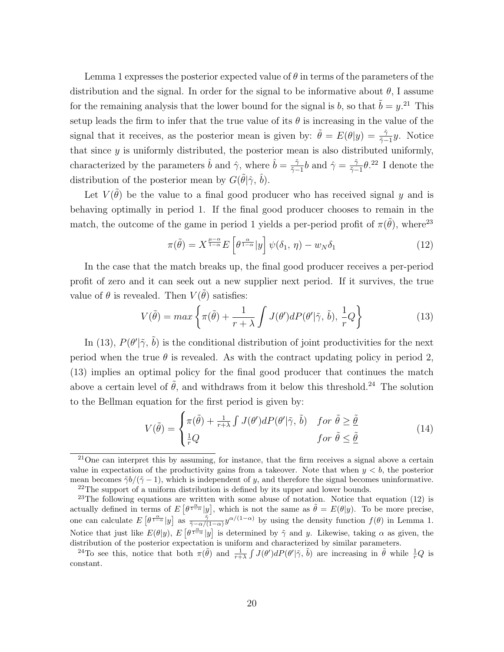Lemma 1 expresses the posterior expected value of  $\theta$  in terms of the parameters of the distribution and the signal. In order for the signal to be informative about  $\theta$ , I assume for the remaining analysis that the lower bound for the signal is b, so that  $\tilde{b} = y$ .<sup>21</sup> This setup leads the firm to infer that the true value of its  $\theta$  is increasing in the value of the signal that it receives, as the posterior mean is given by:  $\tilde{\theta} = E(\theta | y) = \frac{\tilde{\gamma}}{\tilde{\gamma}-1}y$ . Notice that since  $y$  is uniformly distributed, the posterior mean is also distributed uniformly, characterized by the parameters  $\hat{b}$  and  $\hat{\gamma}$ , where  $\hat{b} = \frac{\tilde{\gamma}}{z}$  $\frac{\tilde{\gamma}}{\tilde{\gamma}-1}b$  and  $\hat{\gamma} = \frac{\tilde{\gamma}}{\tilde{\gamma}-1}$  $\frac{\tilde{\gamma}}{\tilde{\gamma}-1}\theta$ .<sup>22</sup> I denote the distribution of the posterior mean by  $G(\tilde{\theta}|\hat{\gamma}, \hat{b})$ .

Let  $V(\tilde{\theta})$  be the value to a final good producer who has received signal y and is behaving optimally in period 1. If the final good producer chooses to remain in the match, the outcome of the game in period 1 yields a per-period profit of  $\pi(\tilde{\theta})$ , where<sup>23</sup>

$$
\pi(\tilde{\theta}) = X^{\frac{\mu-\alpha}{1-\alpha}} E\left[\theta^{\frac{\alpha}{1-\alpha}}|y\right] \psi(\delta_1, \eta) - w_N \delta_1 \tag{12}
$$

In the case that the match breaks up, the final good producer receives a per-period profit of zero and it can seek out a new supplier next period. If it survives, the true value of  $\theta$  is revealed. Then  $V(\tilde{\theta})$  satisfies:

$$
V(\tilde{\theta}) = max \left\{ \pi(\tilde{\theta}) + \frac{1}{r + \lambda} \int J(\theta') dP(\theta' | \tilde{\gamma}, \tilde{b}), \frac{1}{r} Q \right\}
$$
(13)

In (13),  $P(\theta'|\tilde{\gamma}, \tilde{b})$  is the conditional distribution of joint productivities for the next period when the true  $\theta$  is revealed. As with the contract updating policy in period 2, (13) implies an optimal policy for the final good producer that continues the match above a certain level of  $\tilde{\theta}$ , and withdraws from it below this threshold.<sup>24</sup> The solution to the Bellman equation for the first period is given by:

$$
V(\tilde{\theta}) = \begin{cases} \pi(\tilde{\theta}) + \frac{1}{r+\lambda} \int J(\theta')dP(\theta'|\tilde{\gamma}, \tilde{b}) & \text{for } \tilde{\theta} \ge \tilde{\theta} \\ \frac{1}{r}Q & \text{for } \tilde{\theta} \le \tilde{\theta} \end{cases}
$$
(14)

 $^{21}$ One can interpret this by assuming, for instance, that the firm receives a signal above a certain value in expectation of the productivity gains from a takeover. Note that when  $y < b$ , the posterior mean becomes  $\tilde{\gamma}b/(\tilde{\gamma}-1)$ , which is independent of y, and therefore the signal becomes uninformative. <sup>22</sup>The support of a uniform distribution is defined by its upper and lower bounds.

<sup>&</sup>lt;sup>23</sup>The following equations are written with some abuse of notation. Notice that equation  $(12)$  is actually defined in terms of  $E[\theta^{\frac{\alpha}{1-\alpha}}|y]$ , which is not the same as  $\tilde{\theta} = E(\theta|y)$ . To be more precise, one can calculate  $E\left[\theta^{\frac{\alpha}{1-\alpha}}|y\right]$  as  $\frac{\tilde{\gamma}}{\tilde{\gamma}-\alpha/(1-\alpha)}y^{\alpha/(1-\alpha)}$  by using the density function  $f(\theta)$  in Lemma 1. Notice that just like  $E(\theta|y)$ ,  $E[\theta^{\frac{\alpha}{1-\alpha}}|y]$  is determined by  $\tilde{\gamma}$  and y. Likewise, taking  $\alpha$  as given, the distribution of the posterior expectation is uniform and characterized by similar parameters.

<sup>&</sup>lt;sup>24</sup>To see this, notice that both  $\pi(\tilde{\theta})$  and  $\frac{1}{r+\lambda} \int J(\theta')dP(\theta'|\tilde{\gamma}, \tilde{b})$  are increasing in  $\tilde{\theta}$  while  $\frac{1}{r}Q$  is constant.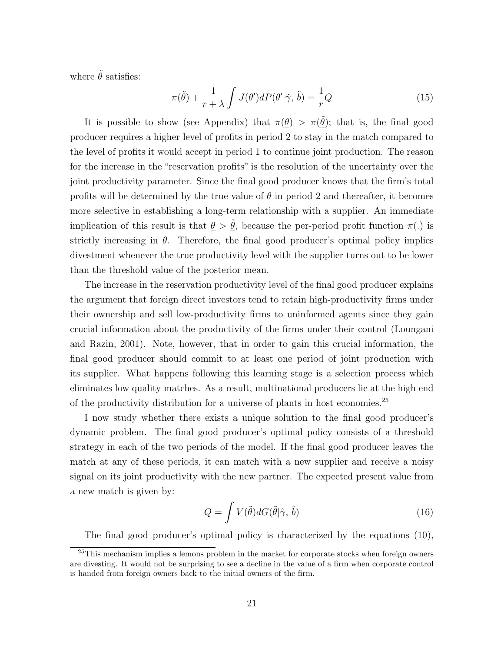where  $\tilde{\underline{\theta}}$  satisfies:

$$
\pi(\underline{\tilde{\theta}}) + \frac{1}{r + \lambda} \int J(\theta')dP(\theta'|\tilde{\gamma}, \tilde{b}) = -\frac{1}{r}Q \tag{15}
$$

It is possible to show (see Appendix) that  $\pi(\underline{\theta}) > \pi(\underline{\tilde{\theta}})$ ; that is, the final good producer requires a higher level of profits in period 2 to stay in the match compared to the level of profits it would accept in period 1 to continue joint production. The reason for the increase in the "reservation profits" is the resolution of the uncertainty over the joint productivity parameter. Since the final good producer knows that the firm's total profits will be determined by the true value of  $\theta$  in period 2 and thereafter, it becomes more selective in establishing a long-term relationship with a supplier. An immediate implication of this result is that  $\theta > \tilde{\theta}$ , because the per-period profit function  $\pi(.)$  is strictly increasing in  $\theta$ . Therefore, the final good producer's optimal policy implies divestment whenever the true productivity level with the supplier turns out to be lower than the threshold value of the posterior mean.

The increase in the reservation productivity level of the final good producer explains the argument that foreign direct investors tend to retain high-productivity firms under their ownership and sell low-productivity firms to uninformed agents since they gain crucial information about the productivity of the firms under their control (Loungani and Razin, 2001). Note, however, that in order to gain this crucial information, the final good producer should commit to at least one period of joint production with its supplier. What happens following this learning stage is a selection process which eliminates low quality matches. As a result, multinational producers lie at the high end of the productivity distribution for a universe of plants in host economies.<sup>25</sup>

I now study whether there exists a unique solution to the final good producer's dynamic problem. The final good producer's optimal policy consists of a threshold strategy in each of the two periods of the model. If the final good producer leaves the match at any of these periods, it can match with a new supplier and receive a noisy signal on its joint productivity with the new partner. The expected present value from a new match is given by:

$$
Q = \int V(\tilde{\theta}) dG(\tilde{\theta}|\hat{\gamma}, \hat{b})
$$
\n(16)

The final good producer's optimal policy is characterized by the equations (10),

<sup>&</sup>lt;sup>25</sup>This mechanism implies a lemons problem in the market for corporate stocks when foreign owners are divesting. It would not be surprising to see a decline in the value of a firm when corporate control is handed from foreign owners back to the initial owners of the firm.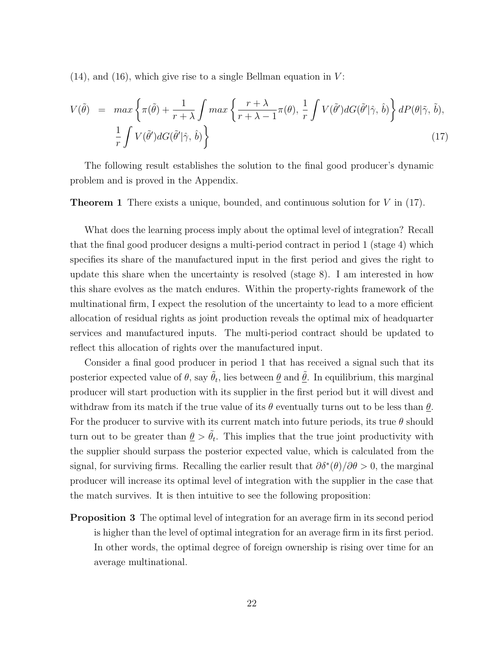$(14)$ , and  $(16)$ , which give rise to a single Bellman equation in V:

$$
V(\tilde{\theta}) = \max \left\{ \pi(\tilde{\theta}) + \frac{1}{r + \lambda} \int \max \left\{ \frac{r + \lambda}{r + \lambda - 1} \pi(\theta), \frac{1}{r} \int V(\tilde{\theta}') dG(\tilde{\theta}' | \hat{\gamma}, \hat{b}) \right\} dP(\theta | \tilde{\gamma}, \tilde{b}),
$$
  

$$
\frac{1}{r} \int V(\tilde{\theta}') dG(\tilde{\theta}' | \hat{\gamma}, \hat{b}) \right\}
$$
(17)

The following result establishes the solution to the final good producer's dynamic problem and is proved in the Appendix.

**Theorem 1** There exists a unique, bounded, and continuous solution for  $V$  in (17).

What does the learning process imply about the optimal level of integration? Recall that the final good producer designs a multi-period contract in period 1 (stage 4) which specifies its share of the manufactured input in the first period and gives the right to update this share when the uncertainty is resolved (stage 8). I am interested in how this share evolves as the match endures. Within the property-rights framework of the multinational firm, I expect the resolution of the uncertainty to lead to a more efficient allocation of residual rights as joint production reveals the optimal mix of headquarter services and manufactured inputs. The multi-period contract should be updated to reflect this allocation of rights over the manufactured input.

Consider a final good producer in period 1 that has received a signal such that its posterior expected value of  $\theta$ , say  $\tilde{\theta}_t$ , lies between  $\underline{\theta}$  and  $\underline{\tilde{\theta}}$ . In equilibrium, this marginal producer will start production with its supplier in the first period but it will divest and withdraw from its match if the true value of its  $\theta$  eventually turns out to be less than  $\underline{\theta}$ . For the producer to survive with its current match into future periods, its true  $\theta$  should turn out to be greater than  $\underline{\theta} > \tilde{\theta}_t$ . This implies that the true joint productivity with the supplier should surpass the posterior expected value, which is calculated from the signal, for surviving firms. Recalling the earlier result that  $\partial \delta^*(\theta)/\partial \theta > 0$ , the marginal producer will increase its optimal level of integration with the supplier in the case that the match survives. It is then intuitive to see the following proposition:

**Proposition 3** The optimal level of integration for an average firm in its second period is higher than the level of optimal integration for an average firm in its first period. In other words, the optimal degree of foreign ownership is rising over time for an average multinational.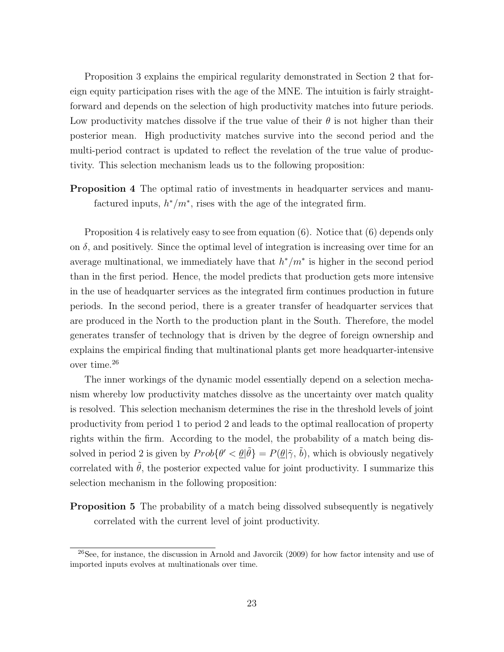Proposition 3 explains the empirical regularity demonstrated in Section 2 that foreign equity participation rises with the age of the MNE. The intuition is fairly straightforward and depends on the selection of high productivity matches into future periods. Low productivity matches dissolve if the true value of their  $\theta$  is not higher than their posterior mean. High productivity matches survive into the second period and the multi-period contract is updated to reflect the revelation of the true value of productivity. This selection mechanism leads us to the following proposition:

Proposition 4 The optimal ratio of investments in headquarter services and manufactured inputs,  $h^*/m^*$ , rises with the age of the integrated firm.

Proposition 4 is relatively easy to see from equation (6). Notice that (6) depends only on  $\delta$ , and positively. Since the optimal level of integration is increasing over time for an average multinational, we immediately have that  $h^*/m^*$  is higher in the second period than in the first period. Hence, the model predicts that production gets more intensive in the use of headquarter services as the integrated firm continues production in future periods. In the second period, there is a greater transfer of headquarter services that are produced in the North to the production plant in the South. Therefore, the model generates transfer of technology that is driven by the degree of foreign ownership and explains the empirical finding that multinational plants get more headquarter-intensive over time.<sup>26</sup>

The inner workings of the dynamic model essentially depend on a selection mechanism whereby low productivity matches dissolve as the uncertainty over match quality is resolved. This selection mechanism determines the rise in the threshold levels of joint productivity from period 1 to period 2 and leads to the optimal reallocation of property rights within the firm. According to the model, the probability of a match being dissolved in period 2 is given by  $Prob\{\theta' < \underline{\theta} | \tilde{\theta}\} = P(\underline{\theta} | \tilde{\gamma}, \tilde{b})$ , which is obviously negatively correlated with  $\tilde{\theta}$ , the posterior expected value for joint productivity. I summarize this selection mechanism in the following proposition:

**Proposition 5** The probability of a match being dissolved subsequently is negatively correlated with the current level of joint productivity.

<sup>26</sup>See, for instance, the discussion in Arnold and Javorcik (2009) for how factor intensity and use of imported inputs evolves at multinationals over time.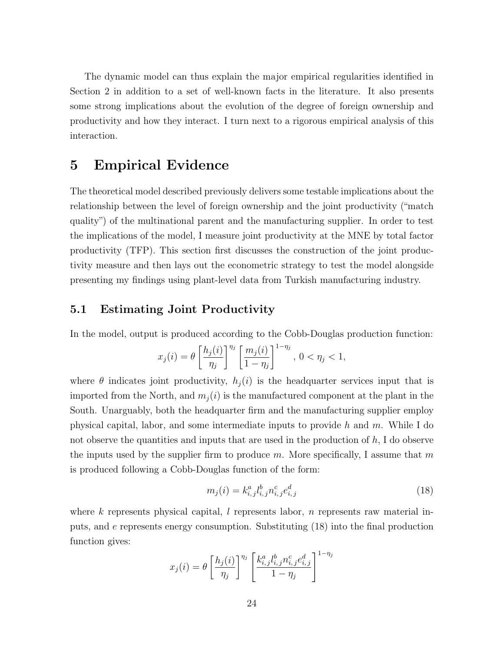The dynamic model can thus explain the major empirical regularities identified in Section 2 in addition to a set of well-known facts in the literature. It also presents some strong implications about the evolution of the degree of foreign ownership and productivity and how they interact. I turn next to a rigorous empirical analysis of this interaction.

## 5 Empirical Evidence

The theoretical model described previously delivers some testable implications about the relationship between the level of foreign ownership and the joint productivity ("match quality") of the multinational parent and the manufacturing supplier. In order to test the implications of the model, I measure joint productivity at the MNE by total factor productivity (TFP). This section first discusses the construction of the joint productivity measure and then lays out the econometric strategy to test the model alongside presenting my findings using plant-level data from Turkish manufacturing industry.

### 5.1 Estimating Joint Productivity

In the model, output is produced according to the Cobb-Douglas production function:

$$
x_j(i) = \theta \left[\frac{h_j(i)}{\eta_j}\right]^{\eta_j} \left[\frac{m_j(i)}{1-\eta_j}\right]^{1-\eta_j}, 0 < \eta_j < 1,
$$

where  $\theta$  indicates joint productivity,  $h_j(i)$  is the headquarter services input that is imported from the North, and  $m_j(i)$  is the manufactured component at the plant in the South. Unarguably, both the headquarter firm and the manufacturing supplier employ physical capital, labor, and some intermediate inputs to provide h and m. While I do not observe the quantities and inputs that are used in the production of  $h$ , I do observe the inputs used by the supplier firm to produce m. More specifically, I assume that m is produced following a Cobb-Douglas function of the form:

$$
m_j(i) = k_{i,j}^a l_{i,j}^b n_{i,j}^c e_{i,j}^d \tag{18}
$$

where k represents physical capital,  $l$  represents labor,  $n$  represents raw material inputs, and e represents energy consumption. Substituting (18) into the final production function gives:

$$
x_j(i) = \theta \left[ \frac{h_j(i)}{\eta_j} \right]^{\eta_j} \left[ \frac{k_{i,j}^a l_{i,j}^b n_{i,j}^c e_{i,j}^d}{1 - \eta_j} \right]^{1 - \eta_j}
$$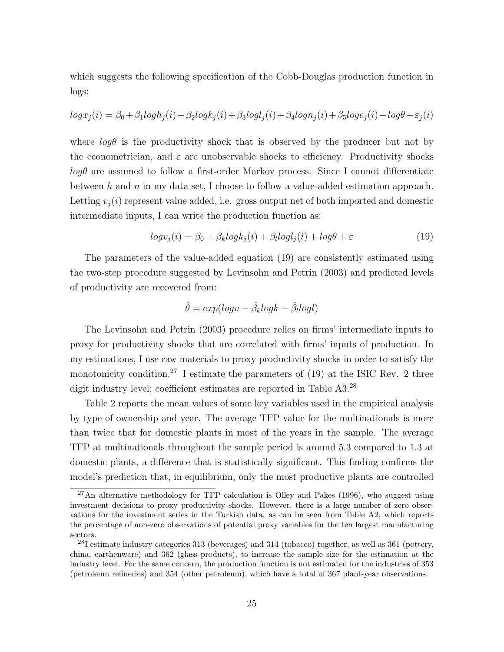which suggests the following specification of the Cobb-Douglas production function in logs:

$$
log x_j(i) = \beta_0 + \beta_1 log h_j(i) + \beta_2 log k_j(i) + \beta_3 log l_j(i) + \beta_4 log n_j(i) + \beta_5 log e_j(i) + log \theta + \varepsilon_j(i)
$$

where  $log\theta$  is the productivity shock that is observed by the producer but not by the econometrician, and  $\varepsilon$  are unobservable shocks to efficiency. Productivity shocks  $log\theta$  are assumed to follow a first-order Markov process. Since I cannot differentiate between h and n in my data set, I choose to follow a value-added estimation approach. Letting  $v_i(i)$  represent value added, i.e. gross output net of both imported and domestic intermediate inputs, I can write the production function as:

$$
logv_j(i) = \beta_0 + \beta_k logk_j(i) + \beta_l logl_j(i) + log\theta + \varepsilon
$$
\n(19)

The parameters of the value-added equation (19) are consistently estimated using the two-step procedure suggested by Levinsohn and Petrin (2003) and predicted levels of productivity are recovered from:

$$
\hat{\theta} = exp(logv - \hat{\beta}_k logk - \hat{\beta}_l logl)
$$

The Levinsohn and Petrin (2003) procedure relies on firms' intermediate inputs to proxy for productivity shocks that are correlated with firms' inputs of production. In my estimations, I use raw materials to proxy productivity shocks in order to satisfy the monotonicity condition.<sup>27</sup> I estimate the parameters of  $(19)$  at the ISIC Rev. 2 three digit industry level; coefficient estimates are reported in Table A3.<sup>28</sup>

Table 2 reports the mean values of some key variables used in the empirical analysis by type of ownership and year. The average TFP value for the multinationals is more than twice that for domestic plants in most of the years in the sample. The average TFP at multinationals throughout the sample period is around 5.3 compared to 1.3 at domestic plants, a difference that is statistically significant. This finding confirms the model's prediction that, in equilibrium, only the most productive plants are controlled

 $^{27}$ An alternative methodology for TFP calculation is Olley and Pakes (1996), who suggest using investment decisions to proxy productivity shocks. However, there is a large number of zero observations for the investment series in the Turkish data, as can be seen from Table A2, which reports the percentage of non-zero observations of potential proxy variables for the ten largest manufacturing sectors.

 $28I$  estimate industry categories 313 (beverages) and 314 (tobacco) together, as well as 361 (pottery, china, earthenware) and 362 (glass products), to increase the sample size for the estimation at the industry level. For the same concern, the production function is not estimated for the industries of 353 (petroleum refineries) and 354 (other petroleum), which have a total of 367 plant-year observations.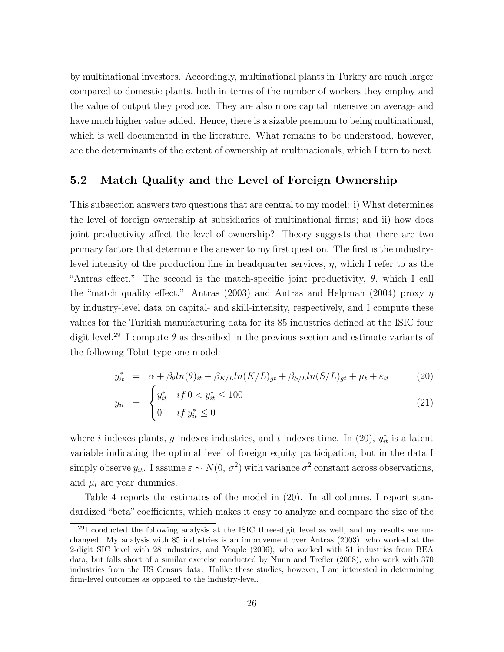by multinational investors. Accordingly, multinational plants in Turkey are much larger compared to domestic plants, both in terms of the number of workers they employ and the value of output they produce. They are also more capital intensive on average and have much higher value added. Hence, there is a sizable premium to being multinational, which is well documented in the literature. What remains to be understood, however, are the determinants of the extent of ownership at multinationals, which I turn to next.

### 5.2 Match Quality and the Level of Foreign Ownership

This subsection answers two questions that are central to my model: i) What determines the level of foreign ownership at subsidiaries of multinational firms; and ii) how does joint productivity affect the level of ownership? Theory suggests that there are two primary factors that determine the answer to my first question. The first is the industrylevel intensity of the production line in headquarter services,  $\eta$ , which I refer to as the "Antras effect." The second is the match-specific joint productivity,  $\theta$ , which I call the "match quality effect." Antras (2003) and Antras and Helpman (2004) proxy  $\eta$ by industry-level data on capital- and skill-intensity, respectively, and I compute these values for the Turkish manufacturing data for its 85 industries defined at the ISIC four digit level.<sup>29</sup> I compute  $\theta$  as described in the previous section and estimate variants of the following Tobit type one model:

$$
y_{it}^* = \alpha + \beta_{\theta} ln(\theta)_{it} + \beta_{K/L} ln(K/L)_{gt} + \beta_{S/L} ln(S/L)_{gt} + \mu_t + \varepsilon_{it}
$$
 (20)

$$
y_{it} = \begin{cases} y_{it}^{*} & if \ 0 < y_{it}^{*} \le 100 \\ 0 & if \ y_{it}^{*} \le 0 \end{cases}
$$
 (21)

where *i* indexes plants, *g* indexes industries, and *t* indexes time. In (20),  $y_{it}^*$  is a latent variable indicating the optimal level of foreign equity participation, but in the data I simply observe  $y_{it}$ . I assume  $\varepsilon \sim N(0, \sigma^2)$  with variance  $\sigma^2$  constant across observations, and  $\mu_t$  are year dummies.

Table 4 reports the estimates of the model in (20). In all columns, I report standardized "beta" coefficients, which makes it easy to analyze and compare the size of the

 $^{29}$ I conducted the following analysis at the ISIC three-digit level as well, and my results are unchanged. My analysis with 85 industries is an improvement over Antras (2003), who worked at the 2-digit SIC level with 28 industries, and Yeaple (2006), who worked with 51 industries from BEA data, but falls short of a similar exercise conducted by Nunn and Trefler (2008), who work with 370 industries from the US Census data. Unlike these studies, however, I am interested in determining firm-level outcomes as opposed to the industry-level.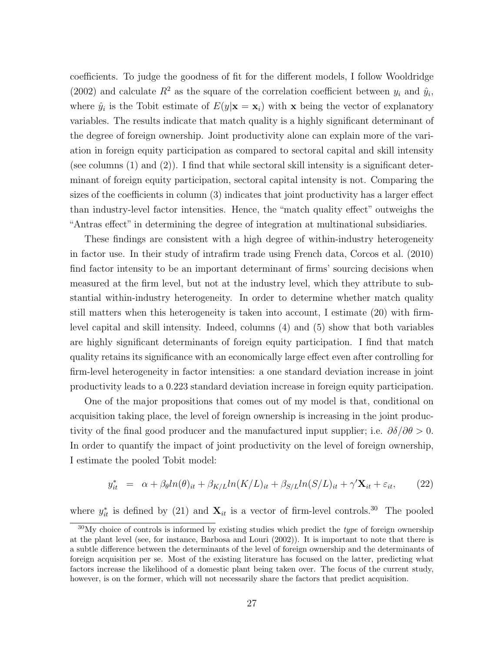coefficients. To judge the goodness of fit for the different models, I follow Wooldridge (2002) and calculate  $R^2$  as the square of the correlation coefficient between  $y_i$  and  $\hat{y}_i$ , where  $\hat{y}_i$  is the Tobit estimate of  $E(y|\mathbf{x} = \mathbf{x}_i)$  with x being the vector of explanatory variables. The results indicate that match quality is a highly significant determinant of the degree of foreign ownership. Joint productivity alone can explain more of the variation in foreign equity participation as compared to sectoral capital and skill intensity (see columns  $(1)$  and  $(2)$ ). I find that while sectoral skill intensity is a significant determinant of foreign equity participation, sectoral capital intensity is not. Comparing the sizes of the coefficients in column (3) indicates that joint productivity has a larger effect than industry-level factor intensities. Hence, the "match quality effect" outweighs the "Antras effect" in determining the degree of integration at multinational subsidiaries.

These findings are consistent with a high degree of within-industry heterogeneity in factor use. In their study of intrafirm trade using French data, Corcos et al. (2010) find factor intensity to be an important determinant of firms' sourcing decisions when measured at the firm level, but not at the industry level, which they attribute to substantial within-industry heterogeneity. In order to determine whether match quality still matters when this heterogeneity is taken into account, I estimate (20) with firmlevel capital and skill intensity. Indeed, columns (4) and (5) show that both variables are highly significant determinants of foreign equity participation. I find that match quality retains its significance with an economically large effect even after controlling for firm-level heterogeneity in factor intensities: a one standard deviation increase in joint productivity leads to a 0.223 standard deviation increase in foreign equity participation.

One of the major propositions that comes out of my model is that, conditional on acquisition taking place, the level of foreign ownership is increasing in the joint productivity of the final good producer and the manufactured input supplier; i.e.  $\partial \delta/\partial \theta > 0$ . In order to quantify the impact of joint productivity on the level of foreign ownership, I estimate the pooled Tobit model:

$$
y_{it}^* = \alpha + \beta_{\theta} \ln(\theta)_{it} + \beta_{K/L} \ln(K/L)_{it} + \beta_{S/L} \ln(S/L)_{it} + \gamma' \mathbf{X}_{it} + \varepsilon_{it}, \qquad (22)
$$

where  $y_{it}^*$  is defined by (21) and  $\mathbf{X}_{it}$  is a vector of firm-level controls.<sup>30</sup> The pooled

 $30$ My choice of controls is informed by existing studies which predict the *type* of foreign ownership at the plant level (see, for instance, Barbosa and Louri (2002)). It is important to note that there is a subtle difference between the determinants of the level of foreign ownership and the determinants of foreign acquisition per se. Most of the existing literature has focused on the latter, predicting what factors increase the likelihood of a domestic plant being taken over. The focus of the current study, however, is on the former, which will not necessarily share the factors that predict acquisition.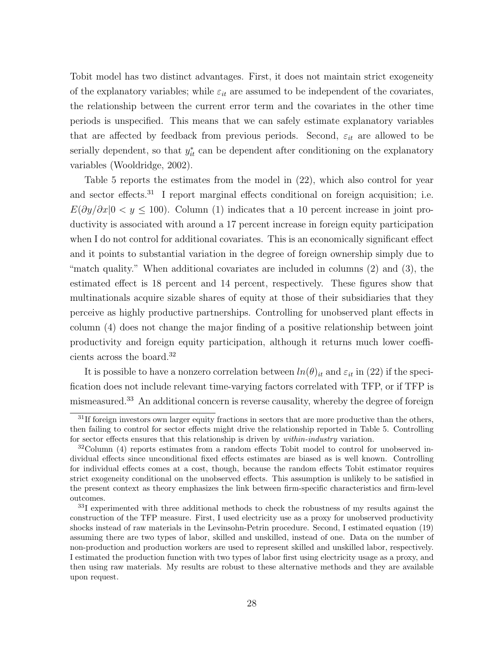Tobit model has two distinct advantages. First, it does not maintain strict exogeneity of the explanatory variables; while  $\varepsilon_{it}$  are assumed to be independent of the covariates, the relationship between the current error term and the covariates in the other time periods is unspecified. This means that we can safely estimate explanatory variables that are affected by feedback from previous periods. Second,  $\varepsilon_{it}$  are allowed to be serially dependent, so that  $y_{it}^*$  can be dependent after conditioning on the explanatory variables (Wooldridge, 2002).

Table 5 reports the estimates from the model in (22), which also control for year and sector effects.<sup>31</sup> I report marginal effects conditional on foreign acquisition; i.e.  $E(\partial y/\partial x|0 < y \le 100)$ . Column (1) indicates that a 10 percent increase in joint productivity is associated with around a 17 percent increase in foreign equity participation when I do not control for additional covariates. This is an economically significant effect and it points to substantial variation in the degree of foreign ownership simply due to "match quality." When additional covariates are included in columns (2) and (3), the estimated effect is 18 percent and 14 percent, respectively. These figures show that multinationals acquire sizable shares of equity at those of their subsidiaries that they perceive as highly productive partnerships. Controlling for unobserved plant effects in column (4) does not change the major finding of a positive relationship between joint productivity and foreign equity participation, although it returns much lower coefficients across the board.<sup>32</sup>

It is possible to have a nonzero correlation between  $ln(\theta)_{it}$  and  $\varepsilon_{it}$  in (22) if the specification does not include relevant time-varying factors correlated with TFP, or if TFP is mismeasured.<sup>33</sup> An additional concern is reverse causality, whereby the degree of foreign

 $31$ If foreign investors own larger equity fractions in sectors that are more productive than the others, then failing to control for sector effects might drive the relationship reported in Table 5. Controlling for sector effects ensures that this relationship is driven by *within-industry* variation.

 $32$ Column (4) reports estimates from a random effects Tobit model to control for unobserved individual effects since unconditional fixed effects estimates are biased as is well known. Controlling for individual effects comes at a cost, though, because the random effects Tobit estimator requires strict exogeneity conditional on the unobserved effects. This assumption is unlikely to be satisfied in the present context as theory emphasizes the link between firm-specific characteristics and firm-level outcomes.

<sup>&</sup>lt;sup>33</sup>I experimented with three additional methods to check the robustness of my results against the construction of the TFP measure. First, I used electricity use as a proxy for unobserved productivity shocks instead of raw materials in the Levinsohn-Petrin procedure. Second, I estimated equation (19) assuming there are two types of labor, skilled and unskilled, instead of one. Data on the number of non-production and production workers are used to represent skilled and unskilled labor, respectively. I estimated the production function with two types of labor first using electricity usage as a proxy, and then using raw materials. My results are robust to these alternative methods and they are available upon request.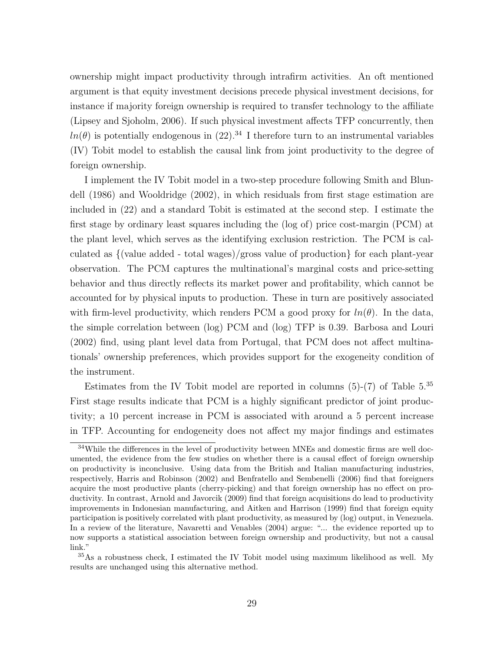ownership might impact productivity through intrafirm activities. An oft mentioned argument is that equity investment decisions precede physical investment decisions, for instance if majority foreign ownership is required to transfer technology to the affiliate (Lipsey and Sjoholm, 2006). If such physical investment affects TFP concurrently, then  $ln(\theta)$  is potentially endogenous in (22).<sup>34</sup> I therefore turn to an instrumental variables (IV) Tobit model to establish the causal link from joint productivity to the degree of foreign ownership.

I implement the IV Tobit model in a two-step procedure following Smith and Blundell (1986) and Wooldridge (2002), in which residuals from first stage estimation are included in (22) and a standard Tobit is estimated at the second step. I estimate the first stage by ordinary least squares including the (log of) price cost-margin (PCM) at the plant level, which serves as the identifying exclusion restriction. The PCM is calculated as {(value added - total wages)/gross value of production} for each plant-year observation. The PCM captures the multinational's marginal costs and price-setting behavior and thus directly reflects its market power and profitability, which cannot be accounted for by physical inputs to production. These in turn are positively associated with firm-level productivity, which renders PCM a good proxy for  $ln(\theta)$ . In the data, the simple correlation between (log) PCM and (log) TFP is 0.39. Barbosa and Louri (2002) find, using plant level data from Portugal, that PCM does not affect multinationals' ownership preferences, which provides support for the exogeneity condition of the instrument.

Estimates from the IV Tobit model are reported in columns  $(5)-(7)$  of Table  $5.^{35}$ First stage results indicate that PCM is a highly significant predictor of joint productivity; a 10 percent increase in PCM is associated with around a 5 percent increase in TFP. Accounting for endogeneity does not affect my major findings and estimates

<sup>&</sup>lt;sup>34</sup>While the differences in the level of productivity between MNEs and domestic firms are well documented, the evidence from the few studies on whether there is a causal effect of foreign ownership on productivity is inconclusive. Using data from the British and Italian manufacturing industries, respectively, Harris and Robinson (2002) and Benfratello and Sembenelli (2006) find that foreigners acquire the most productive plants (cherry-picking) and that foreign ownership has no effect on productivity. In contrast, Arnold and Javorcik (2009) find that foreign acquisitions do lead to productivity improvements in Indonesian manufacturing, and Aitken and Harrison (1999) find that foreign equity participation is positively correlated with plant productivity, as measured by (log) output, in Venezuela. In a review of the literature, Navaretti and Venables (2004) argue: "... the evidence reported up to now supports a statistical association between foreign ownership and productivity, but not a causal link."

<sup>35</sup>As a robustness check, I estimated the IV Tobit model using maximum likelihood as well. My results are unchanged using this alternative method.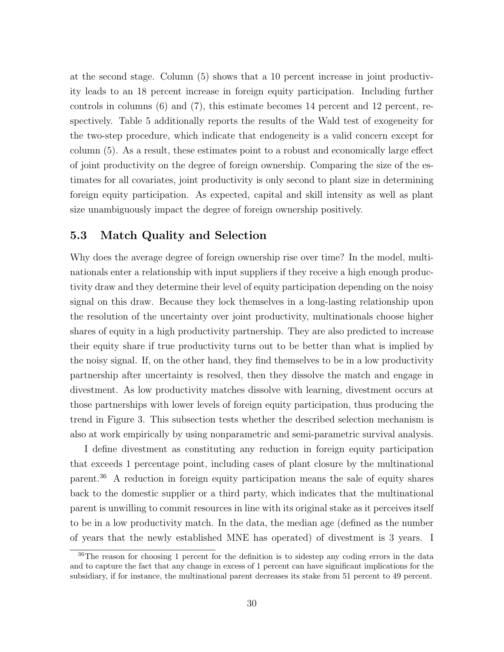at the second stage. Column (5) shows that a 10 percent increase in joint productivity leads to an 18 percent increase in foreign equity participation. Including further controls in columns (6) and (7), this estimate becomes 14 percent and 12 percent, respectively. Table 5 additionally reports the results of the Wald test of exogeneity for the two-step procedure, which indicate that endogeneity is a valid concern except for column (5). As a result, these estimates point to a robust and economically large effect of joint productivity on the degree of foreign ownership. Comparing the size of the estimates for all covariates, joint productivity is only second to plant size in determining foreign equity participation. As expected, capital and skill intensity as well as plant size unambiguously impact the degree of foreign ownership positively.

### 5.3 Match Quality and Selection

Why does the average degree of foreign ownership rise over time? In the model, multinationals enter a relationship with input suppliers if they receive a high enough productivity draw and they determine their level of equity participation depending on the noisy signal on this draw. Because they lock themselves in a long-lasting relationship upon the resolution of the uncertainty over joint productivity, multinationals choose higher shares of equity in a high productivity partnership. They are also predicted to increase their equity share if true productivity turns out to be better than what is implied by the noisy signal. If, on the other hand, they find themselves to be in a low productivity partnership after uncertainty is resolved, then they dissolve the match and engage in divestment. As low productivity matches dissolve with learning, divestment occurs at those partnerships with lower levels of foreign equity participation, thus producing the trend in Figure 3. This subsection tests whether the described selection mechanism is also at work empirically by using nonparametric and semi-parametric survival analysis.

I define divestment as constituting any reduction in foreign equity participation that exceeds 1 percentage point, including cases of plant closure by the multinational parent.<sup>36</sup> A reduction in foreign equity participation means the sale of equity shares back to the domestic supplier or a third party, which indicates that the multinational parent is unwilling to commit resources in line with its original stake as it perceives itself to be in a low productivity match. In the data, the median age (defined as the number of years that the newly established MNE has operated) of divestment is 3 years. I

<sup>&</sup>lt;sup>36</sup>The reason for choosing 1 percent for the definition is to sidestep any coding errors in the data and to capture the fact that any change in excess of 1 percent can have significant implications for the subsidiary, if for instance, the multinational parent decreases its stake from 51 percent to 49 percent.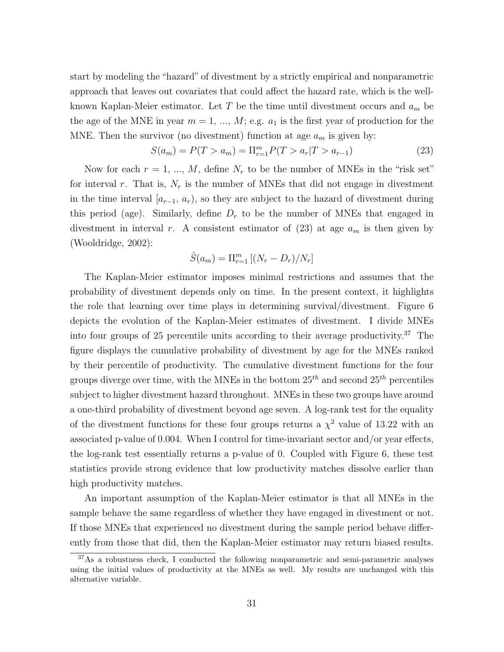start by modeling the "hazard" of divestment by a strictly empirical and nonparametric approach that leaves out covariates that could affect the hazard rate, which is the wellknown Kaplan-Meier estimator. Let  $T$  be the time until divestment occurs and  $a_m$  be the age of the MNE in year  $m = 1, ..., M$ ; e.g.  $a_1$  is the first year of production for the MNE. Then the survivor (no divestment) function at age  $a_m$  is given by:

$$
S(a_m) = P(T > a_m) = \Pi_{r=1}^m P(T > a_r | T > a_{r-1})
$$
\n(23)

Now for each  $r = 1, ..., M$ , define  $N_r$  to be the number of MNEs in the "risk set" for interval r. That is,  $N_r$  is the number of MNEs that did not engage in divestment in the time interval  $[a_{r-1}, a_r)$ , so they are subject to the hazard of divestment during this period (age). Similarly, define  $D<sub>r</sub>$  to be the number of MNEs that engaged in divestment in interval r. A consistent estimator of  $(23)$  at age  $a_m$  is then given by (Wooldridge, 2002):

$$
\hat{S}(a_m) = \Pi_{r=1}^m \left[ \left( N_r - D_r \right) / N_r \right]
$$

The Kaplan-Meier estimator imposes minimal restrictions and assumes that the probability of divestment depends only on time. In the present context, it highlights the role that learning over time plays in determining survival/divestment. Figure 6 depicts the evolution of the Kaplan-Meier estimates of divestment. I divide MNEs into four groups of 25 percentile units according to their average productivity.<sup>37</sup> The figure displays the cumulative probability of divestment by age for the MNEs ranked by their percentile of productivity. The cumulative divestment functions for the four groups diverge over time, with the MNEs in the bottom  $25^{th}$  and second  $25^{th}$  percentiles subject to higher divestment hazard throughout. MNEs in these two groups have around a one-third probability of divestment beyond age seven. A log-rank test for the equality of the divestment functions for these four groups returns a  $\chi^2$  value of 13.22 with an associated p-value of 0.004. When I control for time-invariant sector and/or year effects, the log-rank test essentially returns a p-value of 0. Coupled with Figure 6, these test statistics provide strong evidence that low productivity matches dissolve earlier than high productivity matches.

An important assumption of the Kaplan-Meier estimator is that all MNEs in the sample behave the same regardless of whether they have engaged in divestment or not. If those MNEs that experienced no divestment during the sample period behave differently from those that did, then the Kaplan-Meier estimator may return biased results.

<sup>37</sup>As a robustness check, I conducted the following nonparametric and semi-parametric analyses using the initial values of productivity at the MNEs as well. My results are unchanged with this alternative variable.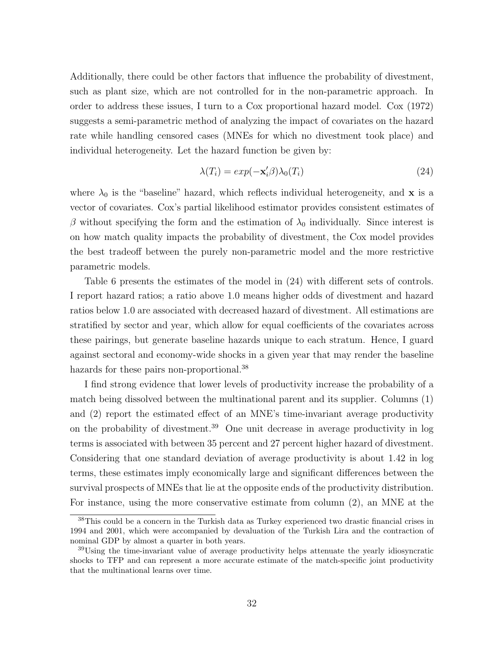Additionally, there could be other factors that influence the probability of divestment, such as plant size, which are not controlled for in the non-parametric approach. In order to address these issues, I turn to a Cox proportional hazard model. Cox (1972) suggests a semi-parametric method of analyzing the impact of covariates on the hazard rate while handling censored cases (MNEs for which no divestment took place) and individual heterogeneity. Let the hazard function be given by:

$$
\lambda(T_i) = exp(-\mathbf{x}'_i \beta) \lambda_0(T_i)
$$
\n(24)

where  $\lambda_0$  is the "baseline" hazard, which reflects individual heterogeneity, and **x** is a vector of covariates. Cox's partial likelihood estimator provides consistent estimates of β without specifying the form and the estimation of  $\lambda_0$  individually. Since interest is on how match quality impacts the probability of divestment, the Cox model provides the best tradeoff between the purely non-parametric model and the more restrictive parametric models.

Table 6 presents the estimates of the model in (24) with different sets of controls. I report hazard ratios; a ratio above 1.0 means higher odds of divestment and hazard ratios below 1.0 are associated with decreased hazard of divestment. All estimations are stratified by sector and year, which allow for equal coefficients of the covariates across these pairings, but generate baseline hazards unique to each stratum. Hence, I guard against sectoral and economy-wide shocks in a given year that may render the baseline hazards for these pairs non-proportional.<sup>38</sup>

I find strong evidence that lower levels of productivity increase the probability of a match being dissolved between the multinational parent and its supplier. Columns (1) and (2) report the estimated effect of an MNE's time-invariant average productivity on the probability of divestment.<sup>39</sup> One unit decrease in average productivity in log terms is associated with between 35 percent and 27 percent higher hazard of divestment. Considering that one standard deviation of average productivity is about 1.42 in log terms, these estimates imply economically large and significant differences between the survival prospects of MNEs that lie at the opposite ends of the productivity distribution. For instance, using the more conservative estimate from column (2), an MNE at the

<sup>&</sup>lt;sup>38</sup>This could be a concern in the Turkish data as Turkey experienced two drastic financial crises in 1994 and 2001, which were accompanied by devaluation of the Turkish Lira and the contraction of nominal GDP by almost a quarter in both years.

<sup>&</sup>lt;sup>39</sup>Using the time-invariant value of average productivity helps attenuate the yearly idiosyncratic shocks to TFP and can represent a more accurate estimate of the match-specific joint productivity that the multinational learns over time.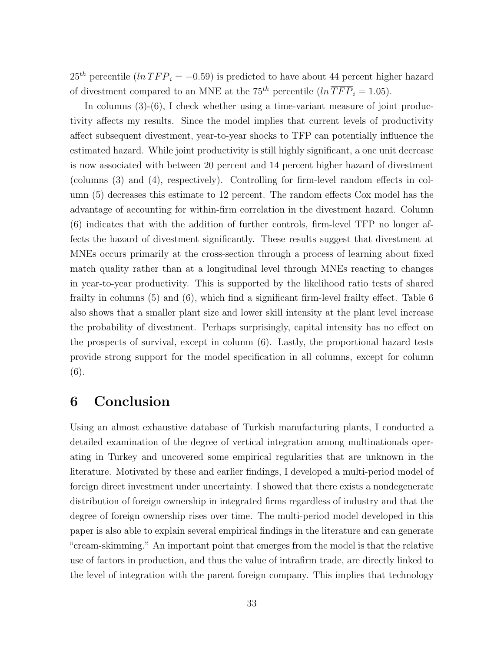$25<sup>th</sup>$  percentile  $(ln \overline{TFP}_i = -0.59)$  is predicted to have about 44 percent higher hazard of divestment compared to an MNE at the 75<sup>th</sup> percentile  $(ln \overline{TFP}_i = 1.05)$ .

In columns  $(3)-(6)$ , I check whether using a time-variant measure of joint productivity affects my results. Since the model implies that current levels of productivity affect subsequent divestment, year-to-year shocks to TFP can potentially influence the estimated hazard. While joint productivity is still highly significant, a one unit decrease is now associated with between 20 percent and 14 percent higher hazard of divestment (columns (3) and (4), respectively). Controlling for firm-level random effects in column (5) decreases this estimate to 12 percent. The random effects Cox model has the advantage of accounting for within-firm correlation in the divestment hazard. Column (6) indicates that with the addition of further controls, firm-level TFP no longer affects the hazard of divestment significantly. These results suggest that divestment at MNEs occurs primarily at the cross-section through a process of learning about fixed match quality rather than at a longitudinal level through MNEs reacting to changes in year-to-year productivity. This is supported by the likelihood ratio tests of shared frailty in columns (5) and (6), which find a significant firm-level frailty effect. Table 6 also shows that a smaller plant size and lower skill intensity at the plant level increase the probability of divestment. Perhaps surprisingly, capital intensity has no effect on the prospects of survival, except in column (6). Lastly, the proportional hazard tests provide strong support for the model specification in all columns, except for column (6).

### 6 Conclusion

Using an almost exhaustive database of Turkish manufacturing plants, I conducted a detailed examination of the degree of vertical integration among multinationals operating in Turkey and uncovered some empirical regularities that are unknown in the literature. Motivated by these and earlier findings, I developed a multi-period model of foreign direct investment under uncertainty. I showed that there exists a nondegenerate distribution of foreign ownership in integrated firms regardless of industry and that the degree of foreign ownership rises over time. The multi-period model developed in this paper is also able to explain several empirical findings in the literature and can generate "cream-skimming." An important point that emerges from the model is that the relative use of factors in production, and thus the value of intrafirm trade, are directly linked to the level of integration with the parent foreign company. This implies that technology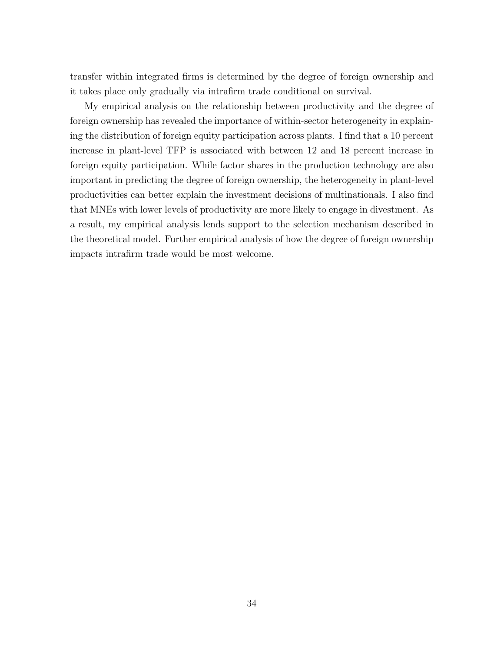transfer within integrated firms is determined by the degree of foreign ownership and it takes place only gradually via intrafirm trade conditional on survival.

My empirical analysis on the relationship between productivity and the degree of foreign ownership has revealed the importance of within-sector heterogeneity in explaining the distribution of foreign equity participation across plants. I find that a 10 percent increase in plant-level TFP is associated with between 12 and 18 percent increase in foreign equity participation. While factor shares in the production technology are also important in predicting the degree of foreign ownership, the heterogeneity in plant-level productivities can better explain the investment decisions of multinationals. I also find that MNEs with lower levels of productivity are more likely to engage in divestment. As a result, my empirical analysis lends support to the selection mechanism described in the theoretical model. Further empirical analysis of how the degree of foreign ownership impacts intrafirm trade would be most welcome.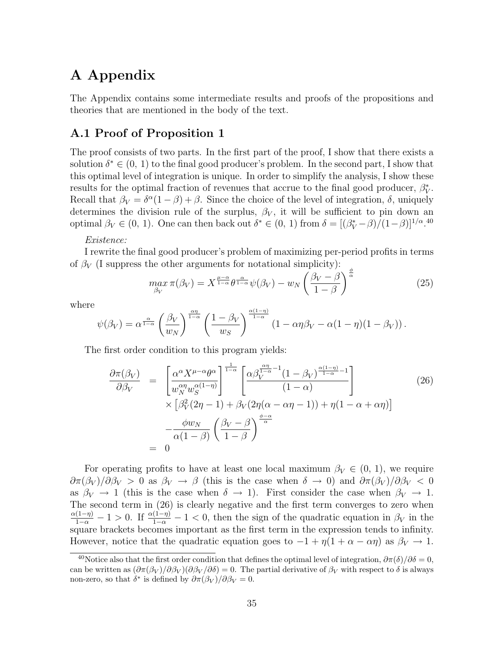## A Appendix

The Appendix contains some intermediate results and proofs of the propositions and theories that are mentioned in the body of the text.

### A.1 Proof of Proposition 1

The proof consists of two parts. In the first part of the proof, I show that there exists a solution  $\delta^* \in (0, 1)$  to the final good producer's problem. In the second part, I show that this optimal level of integration is unique. In order to simplify the analysis, I show these results for the optimal fraction of revenues that accrue to the final good producer,  $\beta_V^*$ . Recall that  $\beta_V = \delta^{\alpha}(1-\beta) + \beta$ . Since the choice of the level of integration,  $\delta$ , uniquely determines the division rule of the surplus,  $\beta_V$ , it will be sufficient to pin down an optimal  $\beta_V \in (0, 1)$ . One can then back out  $\delta^* \in (0, 1)$  from  $\delta = [(\beta_V^* - \beta)/(1 - \beta)]^{1/\alpha}$ .<sup>40</sup>

#### Existence:

I rewrite the final good producer's problem of maximizing per-period profits in terms of  $\beta_V$  (I suppress the other arguments for notational simplicity):

$$
\max_{\beta_V} \pi(\beta_V) = X^{\frac{\mu-\alpha}{1-\alpha}} \theta^{\frac{\alpha}{1-\alpha}} \psi(\beta_V) - w_N \left(\frac{\beta_V - \beta}{1-\beta}\right)^{\frac{\phi}{\alpha}} \tag{25}
$$

where

$$
\psi(\beta_V) = \alpha^{\frac{\alpha}{1-\alpha}} \left(\frac{\beta_V}{w_N}\right)^{\frac{\alpha\eta}{1-\alpha}} \left(\frac{1-\beta_V}{w_S}\right)^{\frac{\alpha(1-\eta)}{1-\alpha}} \left(1-\alpha\eta\beta_V - \alpha(1-\eta)(1-\beta_V)\right).
$$

The first order condition to this program yields:

$$
\frac{\partial \pi(\beta_V)}{\partial \beta_V} = \begin{bmatrix} \frac{\alpha^{\alpha} X^{\mu - \alpha} \theta^{\alpha}}{w_N^{\alpha \eta} w_S^{\alpha (1 - \eta)}} \end{bmatrix}^{\frac{1}{1 - \alpha}} \begin{bmatrix} \frac{\alpha \beta_V^{\frac{\alpha \eta}{1 - \alpha} - 1} (1 - \beta_V)^{\frac{\alpha (1 - \eta)}{1 - \alpha} - 1}}{(1 - \alpha)} \\ \frac{\alpha \beta_V^{\alpha \eta} w_S^{\alpha (1 - \eta)}}{(1 - \alpha)} \end{bmatrix} \times \left[ \beta_V^2 (2\eta - 1) + \beta_V (2\eta (\alpha - \alpha \eta - 1)) + \eta (1 - \alpha + \alpha \eta) \right] - \frac{\phi w_N}{\alpha (1 - \beta)} \left( \frac{\beta_V - \beta}{1 - \beta} \right)^{\frac{\phi - \alpha}{\alpha}}
$$
\n(26)

For operating profits to have at least one local maximum  $\beta_V \in (0, 1)$ , we require  $\partial \pi(\beta_V)/\partial \beta_V > 0$  as  $\beta_V \to \beta$  (this is the case when  $\delta \to 0$ ) and  $\partial \pi(\beta_V)/\partial \beta_V < 0$ as  $\beta_V \rightarrow 1$  (this is the case when  $\delta \rightarrow 1$ ). First consider the case when  $\beta_V \rightarrow 1$ . The second term in (26) is clearly negative and the first term converges to zero when  $\frac{\alpha(1-\eta)}{1-\alpha} - 1 > 0$ . If  $\frac{\alpha(1-\eta)}{1-\alpha} - 1 < 0$ , then the sign of the quadratic equation in  $\beta_V$  in the square brackets becomes important as the first term in the expression tends to infinity. However, notice that the quadratic equation goes to  $-1 + \eta(1 + \alpha - \alpha \eta)$  as  $\beta_V \to 1$ .

<sup>&</sup>lt;sup>40</sup>Notice also that the first order condition that defines the optimal level of integration,  $\partial \pi(\delta)/\partial \delta = 0$ , can be written as  $(\partial \pi(\beta_V)/\partial \beta_V)(\partial \beta_V/\partial \delta) = 0$ . The partial derivative of  $\beta_V$  with respect to  $\delta$  is always non-zero, so that  $\delta^*$  is defined by  $\partial \pi(\beta_V)/\partial \beta_V = 0$ .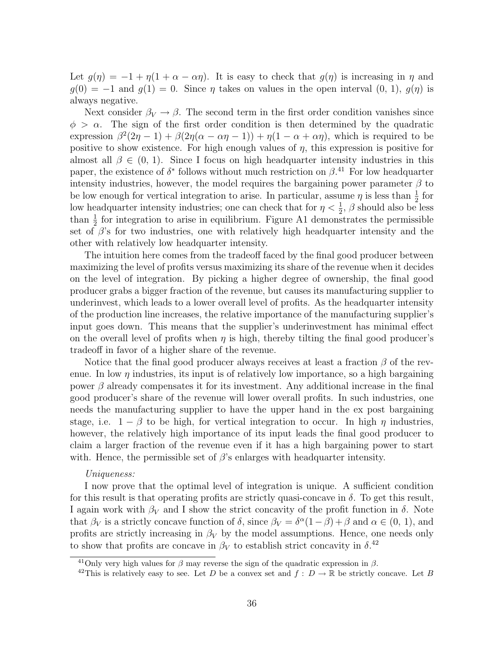Let  $g(\eta) = -1 + \eta(1 + \alpha - \alpha \eta)$ . It is easy to check that  $g(\eta)$  is increasing in  $\eta$  and  $g(0) = -1$  and  $g(1) = 0$ . Since  $\eta$  takes on values in the open interval  $(0, 1), g(\eta)$  is always negative.

Next consider  $\beta_V \rightarrow \beta$ . The second term in the first order condition vanishes since  $\phi > \alpha$ . The sign of the first order condition is then determined by the quadratic expression  $\beta^2(2\eta-1)+\beta(2\eta(\alpha-\alpha\eta-1))+\eta(1-\alpha+\alpha\eta)$ , which is required to be positive to show existence. For high enough values of  $\eta$ , this expression is positive for almost all  $\beta \in (0, 1)$ . Since I focus on high headquarter intensity industries in this paper, the existence of  $\delta^*$  follows without much restriction on  $\beta$ <sup>41</sup>. For low headquarter intensity industries, however, the model requires the bargaining power parameter  $\beta$  to be low enough for vertical integration to arise. In particular, assume  $\eta$  is less than  $\frac{1}{2}$  for low headquarter intensity industries; one can check that for  $\eta < \frac{1}{2}$ ,  $\beta$  should also be less than  $\frac{1}{2}$  for integration to arise in equilibrium. Figure A1 demonstrates the permissible set of  $\beta$ 's for two industries, one with relatively high headquarter intensity and the other with relatively low headquarter intensity.

The intuition here comes from the tradeoff faced by the final good producer between maximizing the level of profits versus maximizing its share of the revenue when it decides on the level of integration. By picking a higher degree of ownership, the final good producer grabs a bigger fraction of the revenue, but causes its manufacturing supplier to underinvest, which leads to a lower overall level of profits. As the headquarter intensity of the production line increases, the relative importance of the manufacturing supplier's input goes down. This means that the supplier's underinvestment has minimal effect on the overall level of profits when  $\eta$  is high, thereby tilting the final good producer's tradeoff in favor of a higher share of the revenue.

Notice that the final good producer always receives at least a fraction  $\beta$  of the revenue. In low  $\eta$  industries, its input is of relatively low importance, so a high bargaining power  $\beta$  already compensates it for its investment. Any additional increase in the final good producer's share of the revenue will lower overall profits. In such industries, one needs the manufacturing supplier to have the upper hand in the ex post bargaining stage, i.e.  $1 - \beta$  to be high, for vertical integration to occur. In high  $\eta$  industries, however, the relatively high importance of its input leads the final good producer to claim a larger fraction of the revenue even if it has a high bargaining power to start with. Hence, the permissible set of  $\beta$ 's enlarges with headquarter intensity.

#### Uniqueness:

I now prove that the optimal level of integration is unique. A sufficient condition for this result is that operating profits are strictly quasi-concave in  $\delta$ . To get this result, I again work with  $\beta_V$  and I show the strict concavity of the profit function in  $\delta$ . Note that  $\beta_V$  is a strictly concave function of  $\delta$ , since  $\beta_V = \delta^{\alpha}(1-\beta) + \beta$  and  $\alpha \in (0, 1)$ , and profits are strictly increasing in  $\beta_V$  by the model assumptions. Hence, one needs only to show that profits are concave in  $\beta_V$  to establish strict concavity in  $\delta^{42}$ 

<sup>&</sup>lt;sup>41</sup>Only very high values for  $\beta$  may reverse the sign of the quadratic expression in  $\beta$ .

<sup>&</sup>lt;sup>42</sup>This is relatively easy to see. Let D be a convex set and  $f: D \to \mathbb{R}$  be strictly concave. Let B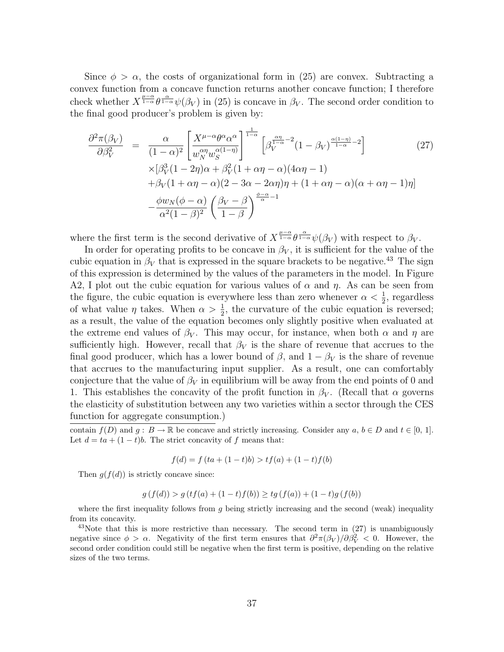Since  $\phi > \alpha$ , the costs of organizational form in (25) are convex. Subtracting a convex function from a concave function returns another concave function; I therefore check whether  $X^{\frac{\mu-\alpha}{1-\alpha}}\theta^{\frac{\alpha}{1-\alpha}}\psi(\beta_V)$  in (25) is concave in  $\beta_V$ . The second order condition to the final good producer's problem is given by:

$$
\frac{\partial^2 \pi (\beta_V)}{\partial \beta_V^2} = \frac{\alpha}{(1-\alpha)^2} \left[ \frac{X^{\mu-\alpha} \theta^{\alpha} \alpha^{\alpha}}{w_N^{\alpha} w_S^{\alpha(1-\eta)}} \right]^{\frac{1}{1-\alpha}} \left[ \beta_V^{\frac{\alpha \eta}{1-\alpha} - 2} (1 - \beta_V)^{\frac{\alpha(1-\eta)}{1-\alpha} - 2} \right] \qquad (27)
$$
  
 
$$
\times [\beta_V^3 (1 - 2\eta) \alpha + \beta_V^2 (1 + \alpha \eta - \alpha) (4\alpha \eta - 1) + \beta_V (1 + \alpha \eta - \alpha) (2 - 3\alpha - 2\alpha \eta) \eta + (1 + \alpha \eta - \alpha) (\alpha + \alpha \eta - 1) \eta] - \frac{\phi w_N (\phi - \alpha)}{\alpha^2 (1 - \beta)^2} \left( \frac{\beta_V - \beta}{1 - \beta} \right)^{\frac{\phi - \alpha}{\alpha} - 1} \qquad (28)
$$

where the first term is the second derivative of  $X^{\frac{\mu-\alpha}{1-\alpha}}\theta^{\frac{\alpha}{1-\alpha}}\psi(\beta_V)$  with respect to  $\beta_V$ .

In order for operating profits to be concave in  $\beta_V$ , it is sufficient for the value of the cubic equation in  $\beta_V$  that is expressed in the square brackets to be negative.<sup>43</sup> The sign of this expression is determined by the values of the parameters in the model. In Figure A2, I plot out the cubic equation for various values of  $\alpha$  and  $\eta$ . As can be seen from the figure, the cubic equation is everywhere less than zero whenever  $\alpha < \frac{1}{2}$ , regardless of what value  $\eta$  takes. When  $\alpha > \frac{1}{2}$ , the curvature of the cubic equation is reversed; as a result, the value of the equation becomes only slightly positive when evaluated at the extreme end values of  $\beta_V$ . This may occur, for instance, when both  $\alpha$  and  $\eta$  are sufficiently high. However, recall that  $\beta_V$  is the share of revenue that accrues to the final good producer, which has a lower bound of  $\beta$ , and  $1 - \beta_V$  is the share of revenue that accrues to the manufacturing input supplier. As a result, one can comfortably conjecture that the value of  $\beta_V$  in equilibrium will be away from the end points of 0 and 1. This establishes the concavity of the profit function in  $\beta_V$ . (Recall that  $\alpha$  governs the elasticity of substitution between any two varieties within a sector through the CES function for aggregate consumption.)

contain  $f(D)$  and  $g : B \to \mathbb{R}$  be concave and strictly increasing. Consider any  $a, b \in D$  and  $t \in [0, 1]$ . Let  $d = ta + (1 - t)b$ . The strict concavity of f means that:

$$
f(d) = f (ta + (1 - t)b) > tf(a) + (1 - t)f(b)
$$

Then  $g(f(d))$  is strictly concave since:

$$
g(f(d)) > g(t f(a) + (1-t)f(b)) \geq t g(f(a)) + (1-t)g(f(b))
$$

where the first inequality follows from q being strictly increasing and the second (weak) inequality from its concavity.

 $43$ Note that this is more restrictive than necessary. The second term in (27) is unambiguously negative since  $\phi > \alpha$ . Negativity of the first term ensures that  $\frac{\partial^2 \pi(\beta_V)}{\partial \beta_V^2} < 0$ . However, the second order condition could still be negative when the first term is positive, depending on the relative sizes of the two terms.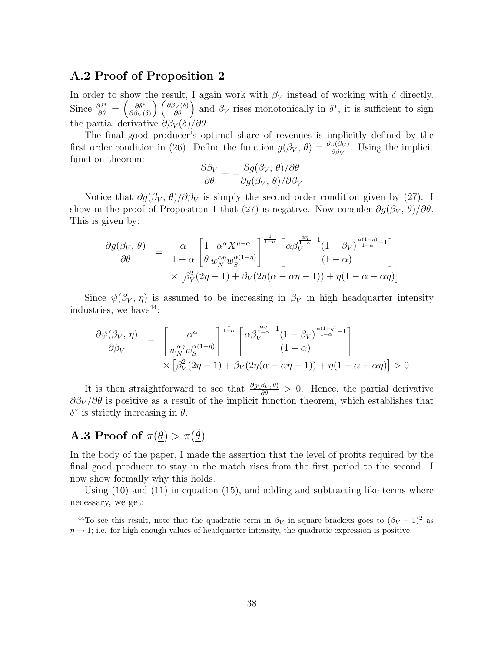#### A.2 Proof of Proposition 2

In order to show the result, I again work with  $\beta_V$  instead of working with  $\delta$  directly. Since  $\frac{\partial \delta^*}{\partial \theta} = \left(\frac{\partial \delta^*}{\partial \beta_V} \right)$  $\partial \beta_V(\delta)$  $\left(\frac{\partial \beta_V(\delta)}{\partial \theta}\right)$  and  $\beta_V$  rises monotonically in  $\delta^*$ , it is sufficient to sign the partial derivative  $\partial \beta_V(\delta)/\partial \theta$ .

The final good producer's optimal share of revenues is implicitly defined by the first order condition in (26). Define the function  $g(\beta_V, \theta) = \frac{\partial \pi(\beta_V)}{\partial \beta_V}$ . Using the implicit function theorem:

$$
\frac{\partial \beta_V}{\partial \theta} = -\frac{\partial g(\beta_V, \theta)/\partial \theta}{\partial g(\beta_V, \theta)/\partial \beta_V}
$$

Notice that  $\partial g(\beta_V, \theta)/\partial \beta_V$  is simply the second order condition given by (27). I show in the proof of Proposition 1 that (27) is negative. Now consider  $\partial g(\beta_V, \theta)/\partial \theta$ . This is given by:

$$
\frac{\partial g(\beta_V, \theta)}{\partial \theta} = \frac{\alpha}{1 - \alpha} \left[ \frac{1}{\theta} \frac{\alpha^{\alpha} X^{\mu - \alpha}}{w_N^{\alpha \eta} w_S^{\alpha (1 - \eta)}} \right]^{\frac{1}{1 - \alpha}} \left[ \frac{\alpha \beta_V^{\frac{\alpha \eta}{1 - \alpha} - 1} (1 - \beta_V)^{\frac{\alpha (1 - \eta)}{1 - \alpha} - 1}}{(1 - \alpha)} \right] \times \left[ \beta_V^2 (2\eta - 1) + \beta_V (2\eta (\alpha - \alpha \eta - 1)) + \eta (1 - \alpha + \alpha \eta) \right]
$$

Since  $\psi(\beta_V, \eta)$  is assumed to be increasing in  $\beta_V$  in high headquarter intensity industries, we have  $44$ :

$$
\frac{\partial \psi(\beta_V, \eta)}{\partial \beta_V} = \left[ \frac{\alpha^{\alpha}}{w_N^{\alpha \eta} w_S^{\alpha(1-\eta)}} \right]^{\frac{1}{1-\alpha}} \left[ \frac{\alpha \beta_V^{\frac{\alpha \eta}{1-\alpha}-1} (1-\beta_V)^{\frac{\alpha(1-\eta)}{1-\alpha}-1}}{(1-\alpha)} \right] \times \left[ \beta_V^2 (2\eta - 1) + \beta_V (2\eta(\alpha - \alpha \eta - 1)) + \eta(1-\alpha+\alpha \eta) \right] > 0
$$

It is then straightforward to see that  $\frac{\partial g(\beta_V, \theta)}{\partial \theta} > 0$ . Hence, the partial derivative  $\partial \beta_V / \partial \theta$  is positive as a result of the implicit function theorem, which establishes that  $\delta^*$  is strictly increasing in  $\theta$ .

# **A.3 Proof of**  $\pi(\underline{\theta}) > \pi(\underline{\tilde{\theta}})$

In the body of the paper, I made the assertion that the level of profits required by the final good producer to stay in the match rises from the first period to the second. I now show formally why this holds.

Using (10) and (11) in equation (15), and adding and subtracting like terms where necessary, we get:

<sup>&</sup>lt;sup>44</sup>To see this result, note that the quadratic term in  $\beta_V$  in square brackets goes to  $(\beta_V - 1)^2$  as  $\eta \rightarrow 1$ ; i.e. for high enough values of headquarter intensity, the quadratic expression is positive.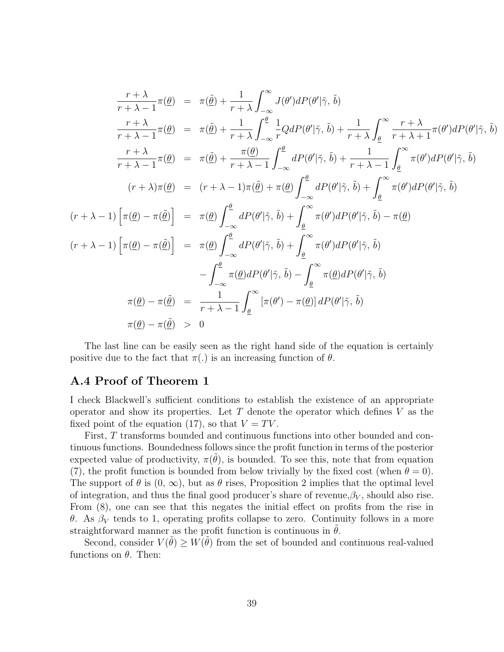$$
\frac{r+\lambda}{r+\lambda-1}\pi(\underline{\theta}) = \pi(\tilde{\theta}) + \frac{1}{r+\lambda}\int_{-\infty}^{\infty} J(\theta')dP(\theta'|\tilde{\gamma}, \tilde{b})
$$
\n
$$
\frac{r+\lambda}{r+\lambda-1}\pi(\underline{\theta}) = \pi(\tilde{\theta}) + \frac{1}{r+\lambda}\int_{-\infty}^{\theta} \frac{1}{r}QdP(\theta'|\tilde{\gamma}, \tilde{b}) + \frac{1}{r+\lambda}\int_{\underline{\theta}}^{\infty} \frac{r+\lambda}{r+\lambda+1}\pi(\theta')dP(\theta'|\tilde{\gamma}, \tilde{b})
$$
\n
$$
\frac{r+\lambda}{r+\lambda-1}\pi(\underline{\theta}) = \pi(\tilde{\theta}) + \frac{\pi(\underline{\theta})}{r+\lambda-1}\int_{-\infty}^{\underline{\theta}} dP(\theta'|\tilde{\gamma}, \tilde{b}) + \frac{1}{r+\lambda-1}\int_{\underline{\theta}}^{\infty} \pi(\theta')dP(\theta'|\tilde{\gamma}, \tilde{b})
$$
\n
$$
(r+\lambda)\pi(\underline{\theta}) = (r+\lambda-1)\pi(\tilde{\theta}) + \pi(\underline{\theta})\int_{-\infty}^{\underline{\theta}} dP(\theta'|\tilde{\gamma}, \tilde{b}) + \int_{\underline{\theta}}^{\infty} \pi(\theta')dP(\theta'|\tilde{\gamma}, \tilde{b})
$$
\n
$$
(r+\lambda-1)\left[\pi(\underline{\theta}) - \pi(\tilde{\theta})\right] = \pi(\underline{\theta})\int_{-\infty}^{\underline{\theta}} dP(\theta'|\tilde{\gamma}, \tilde{b}) + \int_{\underline{\theta}}^{\infty} \pi(\theta')dP(\theta'|\tilde{\gamma}, \tilde{b}) - \pi(\underline{\theta})
$$
\n
$$
(r+\lambda-1)\left[\pi(\underline{\theta}) - \pi(\tilde{\theta})\right] = \pi(\underline{\theta})\int_{-\infty}^{\underline{\theta}} dP(\theta'|\tilde{\gamma}, \tilde{b}) + \int_{\underline{\theta}}^{\infty} \pi(\theta')dP(\theta'|\tilde{\gamma}, \tilde{b})
$$
\n
$$
-\int_{-\infty}^{\underline{\theta}} \pi(\underline{\theta})dP(\theta'|\tilde{\gamma}, \tilde{b}) - \int_{\underline{\theta}}^{\infty} \pi(\underline{\theta})dP(\theta'|\tilde{\gamma}, \tilde{b})
$$

The last line can be easily seen as the right hand side of the equation is certainly positive due to the fact that  $\pi(.)$  is an increasing function of  $\theta$ .

#### A.4 Proof of Theorem 1

I check Blackwell's sufficient conditions to establish the existence of an appropriate operator and show its properties. Let  $T$  denote the operator which defines  $V$  as the fixed point of the equation (17), so that  $V = TV$ .

First, T transforms bounded and continuous functions into other bounded and continuous functions. Boundedness follows since the profit function in terms of the posterior expected value of productivity,  $\pi(\tilde{\theta})$ , is bounded. To see this, note that from equation (7), the profit function is bounded from below trivially by the fixed cost (when  $\theta = 0$ ). The support of  $\theta$  is  $(0, \infty)$ , but as  $\theta$  rises, Proposition 2 implies that the optimal level of integration, and thus the final good producer's share of revenue, $\beta_V$ , should also rise. From (8), one can see that this negates the initial effect on profits from the rise in θ. As  $β_V$  tends to 1, operating profits collapse to zero. Continuity follows in a more straightforward manner as the profit function is continuous in  $\hat{\theta}$ .

Second, consider  $V(\tilde{\theta}) \geq W(\tilde{\theta})$  from the set of bounded and continuous real-valued functions on  $\theta$ . Then: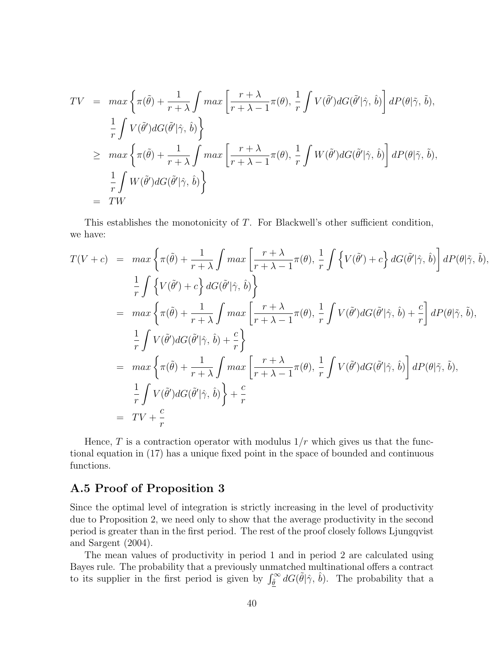$$
TV = \max \left\{ \pi(\tilde{\theta}) + \frac{1}{r + \lambda} \int \max \left[ \frac{r + \lambda}{r + \lambda - 1} \pi(\theta), \frac{1}{r} \int V(\tilde{\theta}') dG(\tilde{\theta}' | \hat{\gamma}, \hat{b}) \right] dP(\theta | \tilde{\gamma}, \tilde{b}),
$$
  
\n
$$
\frac{1}{r} \int V(\tilde{\theta}') dG(\tilde{\theta}' | \hat{\gamma}, \hat{b}) \right\}
$$
  
\n
$$
\geq \max \left\{ \pi(\tilde{\theta}) + \frac{1}{r + \lambda} \int \max \left[ \frac{r + \lambda}{r + \lambda - 1} \pi(\theta), \frac{1}{r} \int W(\tilde{\theta}') dG(\tilde{\theta}' | \hat{\gamma}, \hat{b}) \right] dP(\theta | \tilde{\gamma}, \tilde{b}),
$$
  
\n
$$
= \frac{1}{r} \int W(\tilde{\theta}') dG(\tilde{\theta}' | \hat{\gamma}, \hat{b}) \right\}
$$
  
\n
$$
= TW
$$

This establishes the monotonicity of T. For Blackwell's other sufficient condition, we have:

$$
T(V + c) = \max \left\{ \pi(\tilde{\theta}) + \frac{1}{r + \lambda} \int \max \left[ \frac{r + \lambda}{r + \lambda - 1} \pi(\theta), \frac{1}{r} \int \left\{ V(\tilde{\theta}') + c \right\} dG(\tilde{\theta}' | \hat{\gamma}, \hat{b}) \right\} dP(\theta | \tilde{\gamma}, \tilde{b}),
$$
  
\n
$$
\frac{1}{r} \int \left\{ V(\tilde{\theta}') + c \right\} dG(\tilde{\theta}' | \hat{\gamma}, \hat{b}) \right\}
$$
  
\n
$$
= \max \left\{ \pi(\tilde{\theta}) + \frac{1}{r + \lambda} \int \max \left[ \frac{r + \lambda}{r + \lambda - 1} \pi(\theta), \frac{1}{r} \int V(\tilde{\theta}') dG(\tilde{\theta}' | \hat{\gamma}, \hat{b}) + \frac{c}{r} \right\} dP(\theta | \tilde{\gamma}, \tilde{b}),
$$
  
\n
$$
\frac{1}{r} \int V(\tilde{\theta}') dG(\tilde{\theta}' | \hat{\gamma}, \hat{b}) + \frac{c}{r} \right\}
$$
  
\n
$$
= \max \left\{ \pi(\tilde{\theta}) + \frac{1}{r + \lambda} \int \max \left[ \frac{r + \lambda}{r + \lambda - 1} \pi(\theta), \frac{1}{r} \int V(\tilde{\theta}') dG(\tilde{\theta}' | \hat{\gamma}, \hat{b}) \right\} dP(\theta | \tilde{\gamma}, \tilde{b}),
$$
  
\n
$$
\frac{1}{r} \int V(\tilde{\theta}') dG(\tilde{\theta}' | \hat{\gamma}, \hat{b}) \right\} + \frac{c}{r}
$$
  
\n
$$
= TV + \frac{c}{r}
$$

Hence, T is a contraction operator with modulus  $1/r$  which gives us that the functional equation in (17) has a unique fixed point in the space of bounded and continuous functions.

### A.5 Proof of Proposition 3

Since the optimal level of integration is strictly increasing in the level of productivity due to Proposition 2, we need only to show that the average productivity in the second period is greater than in the first period. The rest of the proof closely follows Ljungqvist and Sargent (2004).

The mean values of productivity in period 1 and in period 2 are calculated using Bayes rule. The probability that a previously unmatched multinational offers a contract to its supplier in the first period is given by  $\int_{\tilde{\theta}}^{\infty} dG(\tilde{\theta}|\hat{\gamma}, \hat{b})$ . The probability that a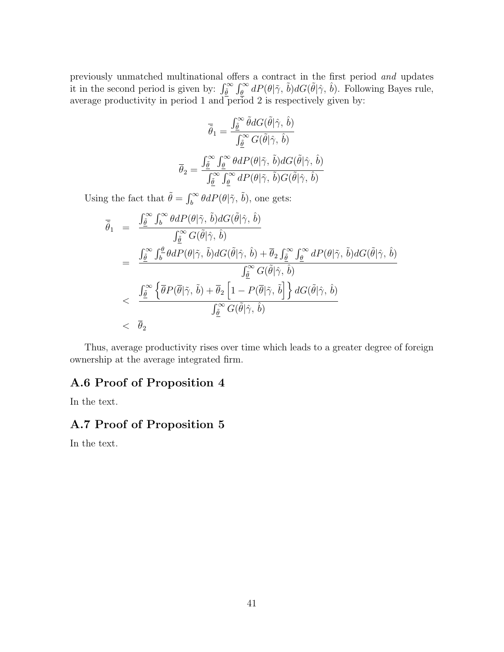previously unmatched multinational offers a contract in the first period and updates it in the second period is given by:  $\int_{\tilde{\theta}}^{\infty} \int_{\theta}^{\infty} dP(\theta | \tilde{\gamma}, \tilde{b}) dG(\tilde{\theta} | \hat{\gamma}, \hat{b})$ . Following Bayes rule, average productivity in period 1 and period 2 is respectively given by:

$$
\overline{\tilde{\theta}}_1 = \frac{\int_{\tilde{\theta}}^{\infty} \tilde{\theta} dG(\tilde{\theta}|\hat{\gamma}, \hat{b})}{\int_{\tilde{\theta}}^{\infty} G(\tilde{\theta}|\hat{\gamma}, \hat{b})}
$$

$$
\overline{\theta}_2 = \frac{\int_{\tilde{\theta}}^{\infty} \int_{\tilde{\theta}}^{\infty} \theta dP(\theta|\tilde{\gamma}, \tilde{b}) dG(\tilde{\theta}|\hat{\gamma}, \hat{b})}{\int_{\tilde{\theta}}^{\infty} \int_{\tilde{\theta}}^{\infty} dP(\theta|\tilde{\gamma}, \tilde{b}) G(\tilde{\theta}|\hat{\gamma}, \hat{b})}
$$

Using the fact that  $\tilde{\theta} = \int_b^{\infty} \theta dP(\theta | \tilde{\gamma}, \tilde{b})$ , one gets:

$$
\overline{\tilde{\theta}}_1 = \frac{\int_{\underline{\tilde{\theta}}}^{\infty} \int_{b}^{\infty} \theta dP(\theta | \tilde{\gamma}, \tilde{b}) dG(\tilde{\theta} | \hat{\gamma}, \hat{b})}{\int_{\underline{\tilde{\theta}}}^{\infty} G(\tilde{\theta} | \hat{\gamma}, \hat{b})}
$$
\n
$$
= \frac{\int_{\underline{\tilde{\theta}}}^{\infty} \int_{b}^{\underline{\theta}} \theta dP(\theta | \tilde{\gamma}, \tilde{b}) dG(\tilde{\theta} | \hat{\gamma}, \hat{b}) + \overline{\theta}_{2} \int_{\underline{\tilde{\theta}}}^{\infty} \int_{\underline{\theta}}^{\infty} dP(\theta | \tilde{\gamma}, \tilde{b}) dG(\tilde{\theta} | \hat{\gamma}, \hat{b})}{\int_{\underline{\tilde{\theta}}}^{\infty} G(\tilde{\theta} | \hat{\gamma}, \hat{b})}
$$
\n
$$
< \frac{\int_{\underline{\tilde{\theta}}}^{\infty} \left\{ \overline{\theta} P(\overline{\theta} | \tilde{\gamma}, \tilde{b}) + \overline{\theta}_{2} \left[ 1 - P(\overline{\theta} | \tilde{\gamma}, \tilde{b}) \right] \right\} dG(\tilde{\theta} | \hat{\gamma}, \hat{b})}{\int_{\underline{\tilde{\theta}}}^{\infty} G(\tilde{\theta} | \hat{\gamma}, \hat{b})}
$$
\n
$$
< \overline{\theta}_{2}
$$

Thus, average productivity rises over time which leads to a greater degree of foreign ownership at the average integrated firm.

### A.6 Proof of Proposition 4

In the text.

### A.7 Proof of Proposition 5

In the text.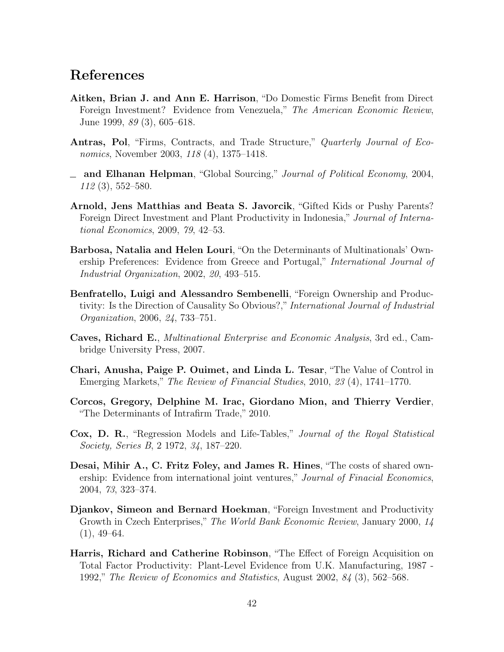## References

- Aitken, Brian J. and Ann E. Harrison, "Do Domestic Firms Benefit from Direct Foreign Investment? Evidence from Venezuela," The American Economic Review, June 1999, 89 (3), 605–618.
- Antras, Pol, "Firms, Contracts, and Trade Structure," Quarterly Journal of Economics, November 2003, 118 (4), 1375–1418.
- $\equiv$  and Elhanan Helpman, "Global Sourcing," Journal of Political Economy, 2004, 112 (3), 552–580.
- Arnold, Jens Matthias and Beata S. Javorcik, "Gifted Kids or Pushy Parents? Foreign Direct Investment and Plant Productivity in Indonesia," Journal of International Economics, 2009, 79, 42–53.
- Barbosa, Natalia and Helen Louri, "On the Determinants of Multinationals' Ownership Preferences: Evidence from Greece and Portugal," International Journal of Industrial Organization, 2002, 20, 493–515.
- Benfratello, Luigi and Alessandro Sembenelli, "Foreign Ownership and Productivity: Is the Direction of Causality So Obvious?," International Journal of Industrial Organization, 2006, 24, 733–751.
- Caves, Richard E., Multinational Enterprise and Economic Analysis, 3rd ed., Cambridge University Press, 2007.
- Chari, Anusha, Paige P. Ouimet, and Linda L. Tesar, "The Value of Control in Emerging Markets," The Review of Financial Studies, 2010, 23 (4), 1741–1770.
- Corcos, Gregory, Delphine M. Irac, Giordano Mion, and Thierry Verdier, "The Determinants of Intrafirm Trade," 2010.
- Cox, D. R., "Regression Models and Life-Tables," Journal of the Royal Statistical Society, Series B, 2 1972, 34, 187–220.
- Desai, Mihir A., C. Fritz Foley, and James R. Hines, "The costs of shared ownership: Evidence from international joint ventures," Journal of Finacial Economics, 2004, 73, 323–374.
- Djankov, Simeon and Bernard Hoekman, "Foreign Investment and Productivity Growth in Czech Enterprises," The World Bank Economic Review, January 2000, 14  $(1), 49-64.$
- Harris, Richard and Catherine Robinson, "The Effect of Foreign Acquisition on Total Factor Productivity: Plant-Level Evidence from U.K. Manufacturing, 1987 - 1992," The Review of Economics and Statistics, August 2002, 84 (3), 562–568.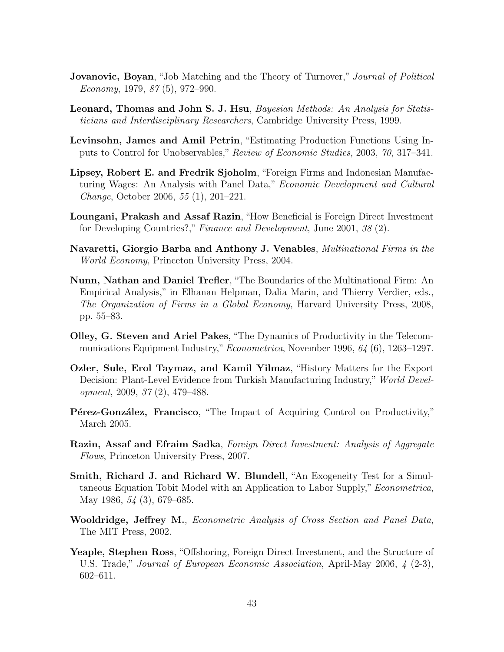- **Jovanovic, Boyan**, "Job Matching and the Theory of Turnover," *Journal of Political*  $Economy, 1979, 87(5), 972-990.$
- Leonard, Thomas and John S. J. Hsu, Bayesian Methods: An Analysis for Statisticians and Interdisciplinary Researchers, Cambridge University Press, 1999.
- Levinsohn, James and Amil Petrin, "Estimating Production Functions Using Inputs to Control for Unobservables," Review of Economic Studies, 2003, 70, 317–341.
- Lipsey, Robert E. and Fredrik Sjoholm, "Foreign Firms and Indonesian Manufacturing Wages: An Analysis with Panel Data," Economic Development and Cultural Change, October 2006, 55 (1), 201–221.
- Loungani, Prakash and Assaf Razin, "How Beneficial is Foreign Direct Investment for Developing Countries?," Finance and Development, June 2001, 38 (2).
- Navaretti, Giorgio Barba and Anthony J. Venables, Multinational Firms in the World Economy, Princeton University Press, 2004.
- Nunn, Nathan and Daniel Trefler, "The Boundaries of the Multinational Firm: An Empirical Analysis," in Elhanan Helpman, Dalia Marin, and Thierry Verdier, eds., The Organization of Firms in a Global Economy, Harvard University Press, 2008, pp. 55–83.
- Olley, G. Steven and Ariel Pakes, "The Dynamics of Productivity in the Telecommunications Equipment Industry," Econometrica, November 1996, 64 (6), 1263-1297.
- Ozler, Sule, Erol Taymaz, and Kamil Yilmaz, "History Matters for the Export Decision: Plant-Level Evidence from Turkish Manufacturing Industry," World Development, 2009, 37 (2), 479–488.
- **P**etrez-González, Francisco, "The Impact of Acquiring Control on Productivity," March 2005.
- Razin, Assaf and Efraim Sadka, Foreign Direct Investment: Analysis of Aggregate Flows, Princeton University Press, 2007.
- Smith, Richard J. and Richard W. Blundell, "An Exogeneity Test for a Simultaneous Equation Tobit Model with an Application to Labor Supply," Econometrica, May 1986, 54 (3), 679–685.
- Wooldridge, Jeffrey M., Econometric Analysis of Cross Section and Panel Data, The MIT Press, 2002.
- Yeaple, Stephen Ross, "Offshoring, Foreign Direct Investment, and the Structure of U.S. Trade," Journal of European Economic Association, April-May 2006, 4 (2-3), 602–611.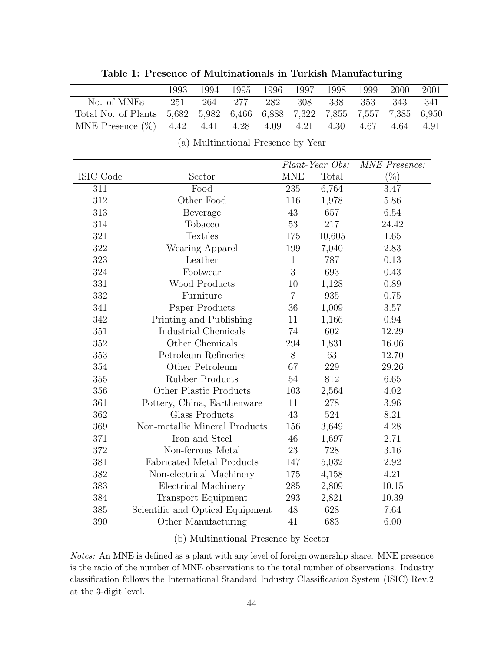| No. of MNEs         | 251                              | 264                    | $277\,$                            | 282   | 308            | 338             | 353   | 343                  | 341   |
|---------------------|----------------------------------|------------------------|------------------------------------|-------|----------------|-----------------|-------|----------------------|-------|
| Total No. of Plants | 5,682                            | 5,982                  | 6,466                              | 6,888 | 7,322          | 7,855           | 7,557 | 7,385                | 6,950 |
| MNE Presence $(\%)$ | 4.42                             | 4.41                   | 4.28                               | 4.09  | 4.21           | 4.30            | 4.67  | 4.64                 | 4.91  |
|                     |                                  |                        | (a) Multinational Presence by Year |       |                |                 |       |                      |       |
|                     |                                  |                        |                                    |       |                |                 |       |                      |       |
|                     |                                  |                        |                                    |       |                | Plant-Year Obs: |       | <b>MNE</b> Presence: |       |
| ISIC Code           |                                  | Sector                 |                                    |       | <b>MNE</b>     | Total           |       | $(\%)$               |       |
| 311                 |                                  | Food                   |                                    |       | 235            | 6,764           |       | 3.47                 |       |
| 312                 |                                  | Other Food             |                                    |       | 116            | 1,978           |       | 5.86                 |       |
| 313                 |                                  | Beverage               |                                    |       | 43             | 657             |       | 6.54                 |       |
| 314                 |                                  | Tobacco                |                                    |       | 53             | 217             |       | 24.42                |       |
| 321                 | <b>Textiles</b>                  |                        |                                    |       | 175            | 10,605          |       | 1.65                 |       |
| 322                 |                                  | Wearing Apparel        |                                    |       | 199            | 7,040           |       | 2.83                 |       |
| 323                 |                                  | Leather                |                                    |       | $\mathbf{1}$   | 787             |       | 0.13                 |       |
| 324                 |                                  | Footwear               |                                    |       | 3              | 693             |       | 0.43                 |       |
| 331                 |                                  | Wood Products          |                                    |       | 10             | 1,128           |       | 0.89                 |       |
| 332                 |                                  | Furniture              |                                    |       | $\overline{7}$ | 935             |       | 0.75                 |       |
| 341                 | Paper Products                   |                        |                                    | 36    | 1,009          | 3.57            |       |                      |       |
| 342                 | Printing and Publishing          |                        |                                    |       | 11             | 1,166           |       | $0.94\,$             |       |
| 351                 | Industrial Chemicals             |                        |                                    |       | 74             | 602             |       | 12.29                |       |
| 352                 |                                  | Other Chemicals        |                                    |       | 294            | 1,831           |       | 16.06                |       |
| 353                 | Petroleum Refineries             |                        |                                    |       | 8              | 63              |       | 12.70                |       |
| 354                 |                                  | Other Petroleum        |                                    |       | 67             | 229             |       | 29.26                |       |
| 355                 |                                  | <b>Rubber Products</b> |                                    |       | $54\,$         | 812             |       | 6.65                 |       |
| 356                 | Other Plastic Products           |                        |                                    |       | 103            | 2,564           |       | 4.02                 |       |
| 361                 | Pottery, China, Earthenware      |                        |                                    |       | 11             | 278             |       | 3.96                 |       |
| 362                 |                                  | <b>Glass Products</b>  |                                    |       | 43             | 524             |       | 8.21                 |       |
| 369                 | Non-metallic Mineral Products    |                        |                                    |       | 156            | 3,649           |       | 4.28                 |       |
| 371                 |                                  | Iron and Steel         |                                    |       | 46             | 1,697           |       | 2.71                 |       |
| 372                 | Non-ferrous Metal                |                        |                                    |       | 23             | 728             |       | 3.16                 |       |
| 381                 | Fabricated Metal Products        |                        |                                    |       | 147            | 5,032           |       | 2.92                 |       |
| 382                 | Non-electrical Machinery         |                        |                                    |       | 175            | 4,158           |       | 4.21                 |       |
| 383                 | Electrical Machinery             |                        |                                    |       | 285            | 2,809           |       | 10.15                |       |
| 384                 | <b>Transport Equipment</b>       |                        |                                    |       | 293            | 2,821           |       | 10.39                |       |
| 385                 | Scientific and Optical Equipment |                        |                                    |       | 48             | 628             |       | 7.64                 |       |

Table 1: Presence of Multinationals in Turkish Manufacturing

1993 1994 1995 1996 1997 1998 1999 2000 2001

#### (b) Multinational Presence by Sector

390 Other Manufacturing 41 683 6.00

Notes: An MNE is defined as a plant with any level of foreign ownership share. MNE presence is the ratio of the number of MNE observations to the total number of observations. Industry classification follows the International Standard Industry Classification System (ISIC) Rev.2 at the 3-digit level.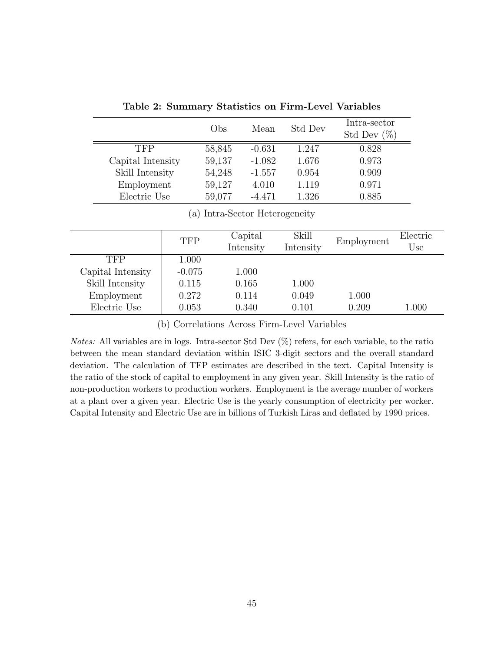|                   | Obs    | Mean     | Std Dev | Intra-sector<br>Std Dev $(\%)$ |
|-------------------|--------|----------|---------|--------------------------------|
| TFP               | 58,845 | $-0.631$ | 1.247   | 0.828                          |
| Capital Intensity | 59,137 | $-1.082$ | 1.676   | 0.973                          |
| Skill Intensity   | 54,248 | $-1.557$ | 0.954   | 0.909                          |
| Employment        | 59,127 | 4.010    | 1.119   | 0.971                          |
| Electric Use      | 59,077 | $-4.471$ | 1.326   | 0.885                          |

Table 2: Summary Statistics on Firm-Level Variables

#### (a) Intra-Sector Heterogeneity

|                   | <b>TFP</b> | Capital<br>Intensity | Skill<br>Intensity | Employment | Electric<br>Use |
|-------------------|------------|----------------------|--------------------|------------|-----------------|
| TFP               | 1.000      |                      |                    |            |                 |
| Capital Intensity | $-0.075$   | 1.000                |                    |            |                 |
| Skill Intensity   | 0.115      | 0.165                | 1.000              |            |                 |
| Employment        | 0.272      | 0.114                | 0.049              | 1.000      |                 |
| Electric Use      | 0.053      | 0.340                | 0.101              | 0.209      | 1.000           |

(b) Correlations Across Firm-Level Variables

Notes: All variables are in logs. Intra-sector Std Dev (%) refers, for each variable, to the ratio between the mean standard deviation within ISIC 3-digit sectors and the overall standard deviation. The calculation of TFP estimates are described in the text. Capital Intensity is the ratio of the stock of capital to employment in any given year. Skill Intensity is the ratio of non-production workers to production workers. Employment is the average number of workers at a plant over a given year. Electric Use is the yearly consumption of electricity per worker. Capital Intensity and Electric Use are in billions of Turkish Liras and deflated by 1990 prices.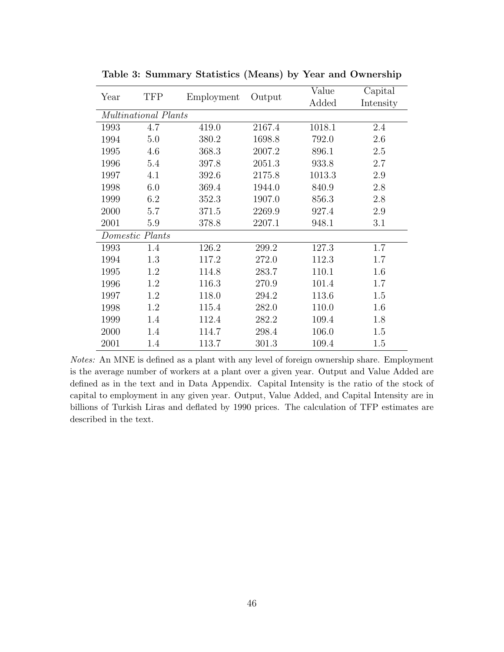| Year | <b>TFP</b>           |            |        | Value  | Capital   |
|------|----------------------|------------|--------|--------|-----------|
|      |                      | Employment | Output | Added  | Intensity |
|      | Multinational Plants |            |        |        |           |
| 1993 | 4.7                  | 419.0      | 2167.4 | 1018.1 | 2.4       |
| 1994 | 5.0                  | 380.2      | 1698.8 | 792.0  | 2.6       |
| 1995 | 4.6                  | 368.3      | 2007.2 | 896.1  | 2.5       |
| 1996 | 5.4                  | 397.8      | 2051.3 | 933.8  | 2.7       |
| 1997 | 4.1                  | 392.6      | 2175.8 | 1013.3 | 2.9       |
| 1998 | 6.0                  | 369.4      | 1944.0 | 840.9  | 2.8       |
| 1999 | 6.2                  | 352.3      | 1907.0 | 856.3  | 2.8       |
| 2000 | 5.7                  | 371.5      | 2269.9 | 927.4  | 2.9       |
| 2001 | 5.9                  | 378.8      | 2207.1 | 948.1  | 3.1       |
|      | Domestic Plants      |            |        |        |           |
| 1993 | 1.4                  | 126.2      | 299.2  | 127.3  | 1.7       |
| 1994 | 1.3                  | 117.2      | 272.0  | 112.3  | 1.7       |
| 1995 | 1.2                  | 114.8      | 283.7  | 110.1  | 1.6       |
| 1996 | 1.2                  | 116.3      | 270.9  | 101.4  | 1.7       |
| 1997 | 1.2                  | 118.0      | 294.2  | 113.6  | 1.5       |
| 1998 | 1.2                  | 115.4      | 282.0  | 110.0  | 1.6       |
| 1999 | 1.4                  | 112.4      | 282.2  | 109.4  | 1.8       |
| 2000 | 1.4                  | 114.7      | 298.4  | 106.0  | 1.5       |
| 2001 | 1.4                  | 113.7      | 301.3  | 109.4  | 1.5       |

Table 3: Summary Statistics (Means) by Year and Ownership

Notes: An MNE is defined as a plant with any level of foreign ownership share. Employment is the average number of workers at a plant over a given year. Output and Value Added are defined as in the text and in Data Appendix. Capital Intensity is the ratio of the stock of capital to employment in any given year. Output, Value Added, and Capital Intensity are in billions of Turkish Liras and deflated by 1990 prices. The calculation of TFP estimates are described in the text.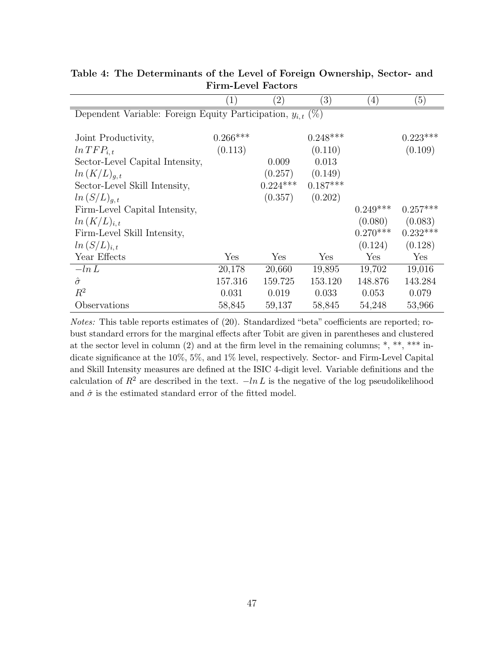|                                                                 | $\left( 1\right)$ | $\left( 2\right)$ | $\left( 3\right)$ | $\left(4\right)$ | (5)        |
|-----------------------------------------------------------------|-------------------|-------------------|-------------------|------------------|------------|
| Dependent Variable: Foreign Equity Participation, $y_{i,t}$ (%) |                   |                   |                   |                  |            |
|                                                                 |                   |                   |                   |                  |            |
| Joint Productivity,                                             | $0.266***$        |                   | $0.248***$        |                  | $0.223***$ |
| $ln TFP_{i.t}$                                                  | (0.113)           |                   | (0.110)           |                  | (0.109)    |
| Sector-Level Capital Intensity,                                 |                   | 0.009             | 0.013             |                  |            |
| $ln (K/L)_{q,t}$                                                |                   | (0.257)           | (0.149)           |                  |            |
| Sector-Level Skill Intensity,                                   |                   | $0.224***$        | $0.187***$        |                  |            |
| $ln (S/L)_{q,t}$                                                |                   | (0.357)           | (0.202)           |                  |            |
| Firm-Level Capital Intensity,                                   |                   |                   |                   | $0.249***$       | $0.257***$ |
| $ln (K/L)_{i,t}$                                                |                   |                   |                   | (0.080)          | (0.083)    |
| Firm-Level Skill Intensity,                                     |                   |                   |                   | $0.270***$       | $0.232***$ |
| $ln (S/L)_{i,t}$                                                |                   |                   |                   | (0.124)          | (0.128)    |
| Year Effects                                                    | Yes               | Yes               | Yes               | Yes              | Yes        |
| $-\ln L$                                                        | 20,178            | 20,660            | 19,895            | 19,702           | 19,016     |
| $\hat{\sigma}$                                                  | 157.316           | 159.725           | 153.120           | 148.876          | 143.284    |
| $R^2$                                                           | 0.031             | 0.019             | 0.033             | 0.053            | 0.079      |
| Observations                                                    | 58,845            | 59,137            | 58,845            | 54,248           | 53,966     |

Table 4: The Determinants of the Level of Foreign Ownership, Sector- and Firm-Level Factors

Notes: This table reports estimates of (20). Standardized "beta" coefficients are reported; robust standard errors for the marginal effects after Tobit are given in parentheses and clustered at the sector level in column  $(2)$  and at the firm level in the remaining columns; \*, \*\*, \*\*\* indicate significance at the 10%, 5%, and 1% level, respectively. Sector- and Firm-Level Capital and Skill Intensity measures are defined at the ISIC 4-digit level. Variable definitions and the calculation of  $R^2$  are described in the text.  $-\ln L$  is the negative of the log pseudolikelihood and  $\hat{\sigma}$  is the estimated standard error of the fitted model.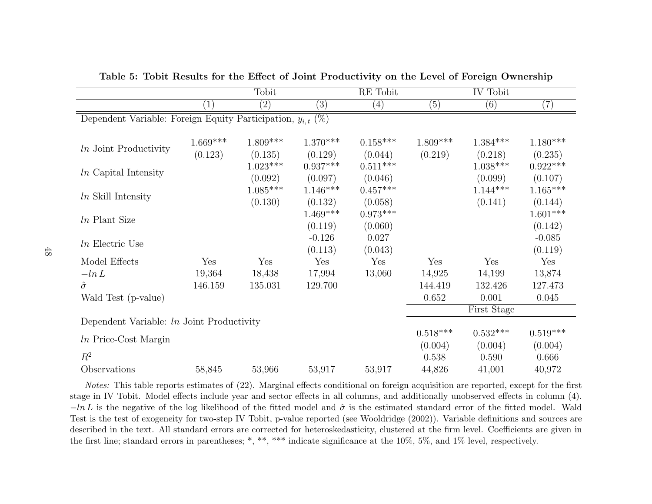|                                                                                                                                                                                                                                                                                                                                                                                                                                                                                                                                                                                                                                                                                                                                                                                                                                                                                                                                                                                                                                                                                                                |                   | Tobit             |        |        |                  | IV Tobit |                 |
|----------------------------------------------------------------------------------------------------------------------------------------------------------------------------------------------------------------------------------------------------------------------------------------------------------------------------------------------------------------------------------------------------------------------------------------------------------------------------------------------------------------------------------------------------------------------------------------------------------------------------------------------------------------------------------------------------------------------------------------------------------------------------------------------------------------------------------------------------------------------------------------------------------------------------------------------------------------------------------------------------------------------------------------------------------------------------------------------------------------|-------------------|-------------------|--------|--------|------------------|----------|-----------------|
|                                                                                                                                                                                                                                                                                                                                                                                                                                                                                                                                                                                                                                                                                                                                                                                                                                                                                                                                                                                                                                                                                                                | $\left( 1\right)$ | $\left( 2\right)$ | (3)    | (4)    | $\overline{(5)}$ | (6)      | (7)             |
| RE Tobit<br>Dependent Variable: Foreign Equity Participation, $y_{i,t}$ (%)<br>$1.669***$<br>$1.809***$<br>$1.370***$<br>$0.158***$<br>$1.809***$<br>$1.384***$<br><i>ln</i> Joint Productivity<br>(0.123)<br>(0.135)<br>(0.129)<br>(0.044)<br>(0.219)<br>(0.218)<br>$1.023***$<br>$0.937***$<br>$0.511^{***}\,$<br>$1.038***$<br><i>ln</i> Capital Intensity<br>(0.046)<br>(0.099)<br>(0.092)<br>(0.097)<br>$1.085***$<br>$0.457***$<br>$1.146***$<br>$1.144***$<br>$ln$ Skill Intensity<br>(0.130)<br>(0.058)<br>(0.141)<br>(0.132)<br>$1.469***$<br>$0.973***$<br><i>ln</i> Plant Size<br>(0.060)<br>(0.119)<br>$-0.126$<br>0.027<br>$ln$ Electric Use<br>(0.113)<br>(0.043)<br>Model Effects<br>Yes<br>Yes<br>Yes<br>Yes<br>Yes<br>Yes<br>19,364<br>$-\ln L$<br>18,438<br>17,994<br>13,060<br>14,925<br>14,199<br>$\hat{\sigma}$<br>146.159<br>135.031<br>129.700<br>144.419<br>132.426<br>0.652<br>0.001<br>Wald Test (p-value)<br>First Stage<br>Dependent Variable: <i>In</i> Joint Productivity<br>$0.518***$<br>$0.532***$<br>$ln$ Price-Cost Margin<br>(0.004)<br>(0.004)<br>$R^2$<br>0.538<br>0.590 |                   |                   |        |        |                  |          |                 |
|                                                                                                                                                                                                                                                                                                                                                                                                                                                                                                                                                                                                                                                                                                                                                                                                                                                                                                                                                                                                                                                                                                                |                   |                   |        |        |                  |          |                 |
|                                                                                                                                                                                                                                                                                                                                                                                                                                                                                                                                                                                                                                                                                                                                                                                                                                                                                                                                                                                                                                                                                                                |                   |                   |        |        |                  |          | $1.180***$      |
|                                                                                                                                                                                                                                                                                                                                                                                                                                                                                                                                                                                                                                                                                                                                                                                                                                                                                                                                                                                                                                                                                                                |                   |                   |        |        |                  |          | (0.235)         |
|                                                                                                                                                                                                                                                                                                                                                                                                                                                                                                                                                                                                                                                                                                                                                                                                                                                                                                                                                                                                                                                                                                                |                   |                   |        |        |                  |          | $0.922***$      |
|                                                                                                                                                                                                                                                                                                                                                                                                                                                                                                                                                                                                                                                                                                                                                                                                                                                                                                                                                                                                                                                                                                                |                   |                   |        |        |                  |          | (0.107)         |
|                                                                                                                                                                                                                                                                                                                                                                                                                                                                                                                                                                                                                                                                                                                                                                                                                                                                                                                                                                                                                                                                                                                |                   |                   |        |        |                  |          | $1.165^{***}\,$ |
|                                                                                                                                                                                                                                                                                                                                                                                                                                                                                                                                                                                                                                                                                                                                                                                                                                                                                                                                                                                                                                                                                                                |                   |                   |        |        |                  |          | (0.144)         |
|                                                                                                                                                                                                                                                                                                                                                                                                                                                                                                                                                                                                                                                                                                                                                                                                                                                                                                                                                                                                                                                                                                                |                   |                   |        |        |                  |          | $1.601***$      |
|                                                                                                                                                                                                                                                                                                                                                                                                                                                                                                                                                                                                                                                                                                                                                                                                                                                                                                                                                                                                                                                                                                                |                   |                   |        |        |                  |          | (0.142)         |
|                                                                                                                                                                                                                                                                                                                                                                                                                                                                                                                                                                                                                                                                                                                                                                                                                                                                                                                                                                                                                                                                                                                |                   |                   |        |        |                  |          | $-0.085$        |
|                                                                                                                                                                                                                                                                                                                                                                                                                                                                                                                                                                                                                                                                                                                                                                                                                                                                                                                                                                                                                                                                                                                |                   |                   |        |        |                  |          | (0.119)         |
|                                                                                                                                                                                                                                                                                                                                                                                                                                                                                                                                                                                                                                                                                                                                                                                                                                                                                                                                                                                                                                                                                                                |                   |                   |        |        |                  |          | Yes             |
|                                                                                                                                                                                                                                                                                                                                                                                                                                                                                                                                                                                                                                                                                                                                                                                                                                                                                                                                                                                                                                                                                                                |                   |                   |        |        |                  |          | 13,874          |
|                                                                                                                                                                                                                                                                                                                                                                                                                                                                                                                                                                                                                                                                                                                                                                                                                                                                                                                                                                                                                                                                                                                |                   |                   |        |        |                  |          | 127.473         |
|                                                                                                                                                                                                                                                                                                                                                                                                                                                                                                                                                                                                                                                                                                                                                                                                                                                                                                                                                                                                                                                                                                                |                   |                   |        |        |                  |          | 0.045           |
|                                                                                                                                                                                                                                                                                                                                                                                                                                                                                                                                                                                                                                                                                                                                                                                                                                                                                                                                                                                                                                                                                                                |                   |                   |        |        |                  |          |                 |
|                                                                                                                                                                                                                                                                                                                                                                                                                                                                                                                                                                                                                                                                                                                                                                                                                                                                                                                                                                                                                                                                                                                |                   |                   |        |        |                  |          |                 |
|                                                                                                                                                                                                                                                                                                                                                                                                                                                                                                                                                                                                                                                                                                                                                                                                                                                                                                                                                                                                                                                                                                                |                   |                   |        |        |                  |          | $0.519***$      |
|                                                                                                                                                                                                                                                                                                                                                                                                                                                                                                                                                                                                                                                                                                                                                                                                                                                                                                                                                                                                                                                                                                                |                   |                   |        |        |                  |          | (0.004)         |
|                                                                                                                                                                                                                                                                                                                                                                                                                                                                                                                                                                                                                                                                                                                                                                                                                                                                                                                                                                                                                                                                                                                |                   |                   |        |        |                  |          | 0.666           |
| Observations                                                                                                                                                                                                                                                                                                                                                                                                                                                                                                                                                                                                                                                                                                                                                                                                                                                                                                                                                                                                                                                                                                   | 58,845            | 53,966            | 53,917 | 53,917 | 44,826           | 41,001   | 40,972          |

Table 5: Tobit Results for the Effect of Joint Productivity on the Level of Foreign Ownership

Notes: This table reports estimates of (22). Marginal effects conditional on foreign acquisition are reported, except for the first stage in IV Tobit. Model effects include year and sector effects in all columns, and additionally unobserved effects in column (4). $-ln L$  is the negative of the log likelihood of the fitted model and  $\hat{\sigma}$  is the estimated standard error of the fitted model. Wald Test is the test of exogeneity for two-step IV Tobit, p-value reported (see Wooldridge (2002)). Variable definitions and sources are described in the text. All standard errors are corrected for heteroskedasticity, clustered at the firm level. Coefficients are given inthe first line; standard errors in parentheses; \*, \*\*, \*\*\* indicate significance at the 10%, 5%, and 1% level, respectively.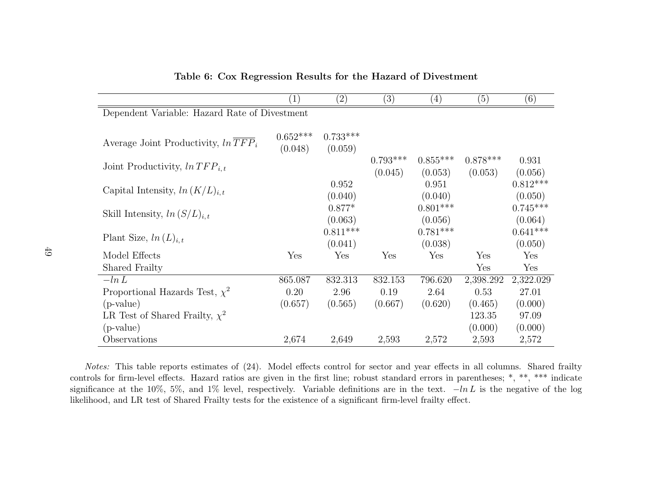|                                               | $\left(1\right)$ | $\left( 2\right)$ | $\left( 3\right)$ | $\left( 4\right)$ | (5)        | (6)                   |
|-----------------------------------------------|------------------|-------------------|-------------------|-------------------|------------|-----------------------|
| Dependent Variable: Hazard Rate of Divestment |                  |                   |                   |                   |            |                       |
|                                               |                  |                   |                   |                   |            |                       |
| Average Joint Productivity, $ln TFP_i$        | $0.652***$       | $0.733***$        |                   |                   |            |                       |
|                                               | (0.048)          | (0.059)           |                   |                   |            |                       |
| Joint Productivity, $ln TFP_{i,t}$            |                  |                   | $0.793***$        | $0.855***$        | $0.878***$ | 0.931                 |
|                                               |                  | 0.952             | (0.045)           | (0.053)<br>0.951  | (0.053)    | (0.056)<br>$0.812***$ |
| Capital Intensity, $ln (K/L)_{i,t}$           |                  | (0.040)           |                   | (0.040)           |            | (0.050)               |
|                                               |                  | $0.877*$          |                   | $0.801***$        |            | $0.745***$            |
| Skill Intensity, $ln (S/L)_{i,t}$             |                  | (0.063)           |                   | (0.056)           |            | (0.064)               |
|                                               |                  | $0.811***$        |                   | $0.781***$        |            | $0.641***$            |
| Plant Size, $ln(L)_{i,t}$                     |                  | (0.041)           |                   | (0.038)           |            | (0.050)               |
| Model Effects                                 | Yes              | Yes               | Yes               | Yes               | Yes        | Yes                   |
| Shared Frailty                                |                  |                   |                   |                   | Yes        | Yes                   |
| $-\ln L$                                      | 865.087          | 832.313           | 832.153           | 796.620           | 2,398.292  | 2,322.029             |
| Proportional Hazards Test, $\chi^2$           | 0.20             | 2.96              | 0.19              | 2.64              | 0.53       | 27.01                 |
| $(p-value)$                                   | (0.657)          | (0.565)           | (0.667)           | (0.620)           | (0.465)    | (0.000)               |
| LR Test of Shared Frailty, $\chi^2$           |                  |                   |                   |                   | 123.35     | 97.09                 |
| $(p-value)$                                   |                  |                   |                   |                   | (0.000)    | (0.000)               |
| Observations                                  | 2,674            | 2,649             | 2,593             | 2,572             | 2,593      | 2,572                 |

#### Table 6: Cox Regression Results for the Hazard of Divestment

Notes: This table reports estimates of (24). Model effects control for sector and year effects in all columns. Shared frailty controls for firm-level effects. Hazard ratios are <sup>g</sup>iven in the first line; robust standard errors in parentheses; \*, \*\*, \*\*\* indicatesignificance at the 10%, 5%, and 1% level, respectively. Variable definitions are in the text.  $-\ln L$  is the negative of the log likelihood, and LR test of Shared Frailty tests for the existence of <sup>a</sup> significant firm-level frailty effect.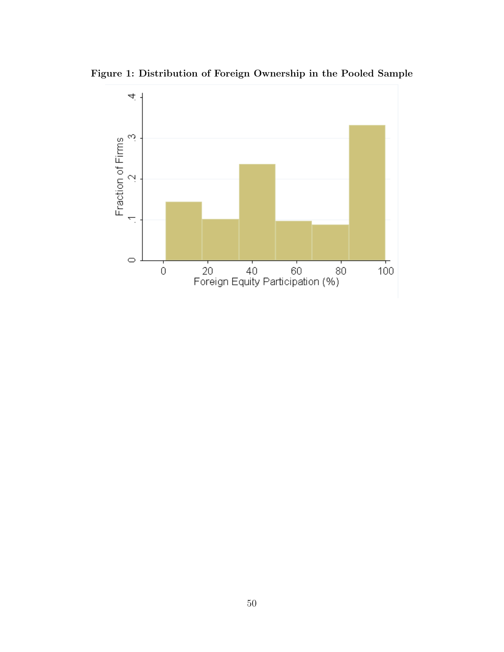

Figure 1: Distribution of Foreign Ownership in the Pooled Sample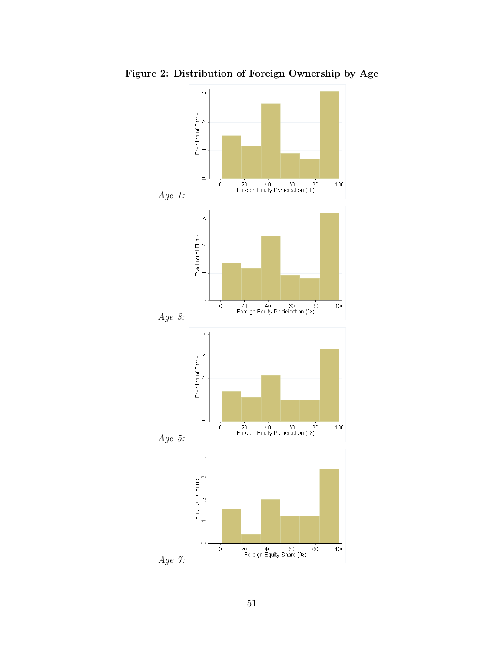

Figure 2: Distribution of Foreign Ownership by Age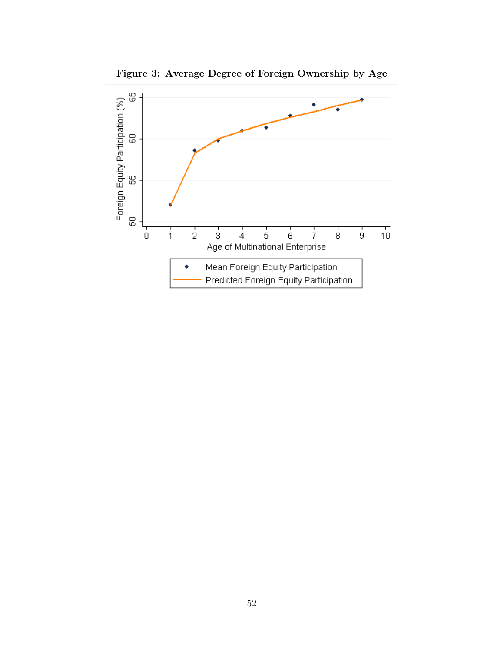

Figure 3: Average Degree of Foreign Ownership by Age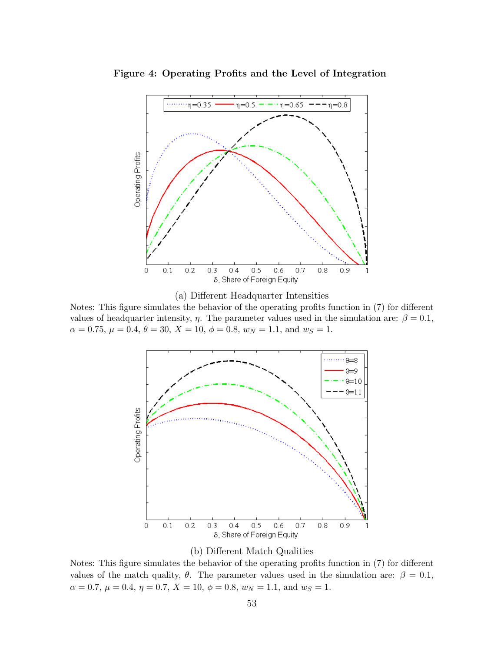

Figure 4: Operating Profits and the Level of Integration



Notes: This figure simulates the behavior of the operating profits function in (7) for different values of headquarter intensity,  $\eta$ . The parameter values used in the simulation are:  $\beta = 0.1$ ,  $\alpha = 0.75, \, \mu = 0.4, \, \theta = 30, \, X = 10, \, \phi = 0.8, \, w_N = 1.1, \, \text{and } w_S = 1.$ 





Notes: This figure simulates the behavior of the operating profits function in (7) for different values of the match quality,  $\theta$ . The parameter values used in the simulation are:  $\beta = 0.1$ ,  $\alpha = 0.7, \mu = 0.4, \eta = 0.7, X = 10, \phi = 0.8, w_N = 1.1, \text{ and } w_S = 1.$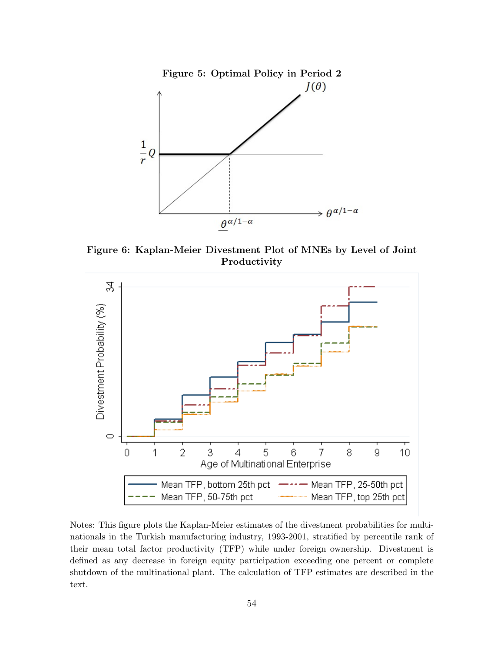

Figure 6: Kaplan-Meier Divestment Plot of MNEs by Level of Joint Productivity



Notes: This figure plots the Kaplan-Meier estimates of the divestment probabilities for multinationals in the Turkish manufacturing industry, 1993-2001, stratified by percentile rank of their mean total factor productivity (TFP) while under foreign ownership. Divestment is defined as any decrease in foreign equity participation exceeding one percent or complete shutdown of the multinational plant. The calculation of TFP estimates are described in the text.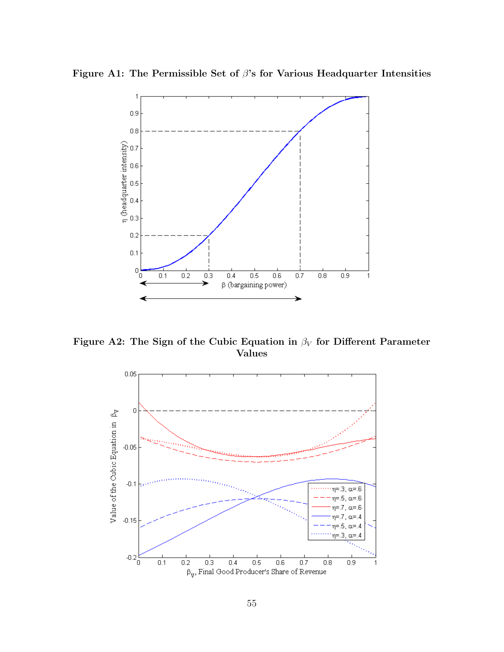



Figure A2: The Sign of the Cubic Equation in  $\beta_V$  for Different Parameter Values

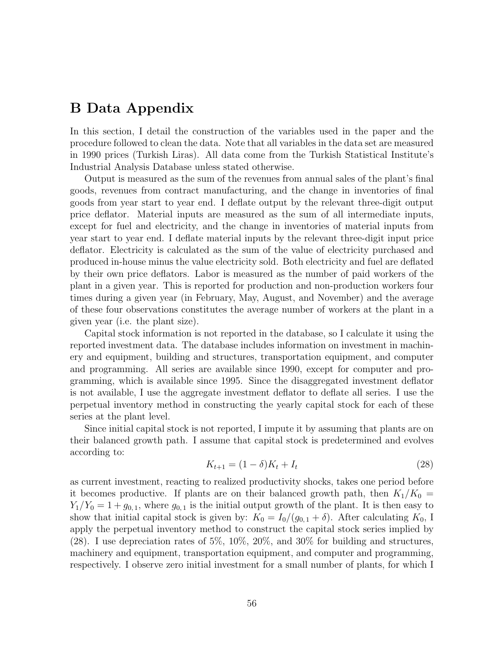## B Data Appendix

In this section, I detail the construction of the variables used in the paper and the procedure followed to clean the data. Note that all variables in the data set are measured in 1990 prices (Turkish Liras). All data come from the Turkish Statistical Institute's Industrial Analysis Database unless stated otherwise.

Output is measured as the sum of the revenues from annual sales of the plant's final goods, revenues from contract manufacturing, and the change in inventories of final goods from year start to year end. I deflate output by the relevant three-digit output price deflator. Material inputs are measured as the sum of all intermediate inputs, except for fuel and electricity, and the change in inventories of material inputs from year start to year end. I deflate material inputs by the relevant three-digit input price deflator. Electricity is calculated as the sum of the value of electricity purchased and produced in-house minus the value electricity sold. Both electricity and fuel are deflated by their own price deflators. Labor is measured as the number of paid workers of the plant in a given year. This is reported for production and non-production workers four times during a given year (in February, May, August, and November) and the average of these four observations constitutes the average number of workers at the plant in a given year (i.e. the plant size).

Capital stock information is not reported in the database, so I calculate it using the reported investment data. The database includes information on investment in machinery and equipment, building and structures, transportation equipment, and computer and programming. All series are available since 1990, except for computer and programming, which is available since 1995. Since the disaggregated investment deflator is not available, I use the aggregate investment deflator to deflate all series. I use the perpetual inventory method in constructing the yearly capital stock for each of these series at the plant level.

Since initial capital stock is not reported, I impute it by assuming that plants are on their balanced growth path. I assume that capital stock is predetermined and evolves according to:

$$
K_{t+1} = (1 - \delta)K_t + I_t
$$
\n(28)

as current investment, reacting to realized productivity shocks, takes one period before it becomes productive. If plants are on their balanced growth path, then  $K_1/K_0 =$  $Y_1/Y_0 = 1 + g_{0,1}$ , where  $g_{0,1}$  is the initial output growth of the plant. It is then easy to show that initial capital stock is given by:  $K_0 = I_0/(g_{0,1} + \delta)$ . After calculating  $K_0$ , I apply the perpetual inventory method to construct the capital stock series implied by (28). I use depreciation rates of 5%, 10%, 20%, and 30% for building and structures, machinery and equipment, transportation equipment, and computer and programming, respectively. I observe zero initial investment for a small number of plants, for which I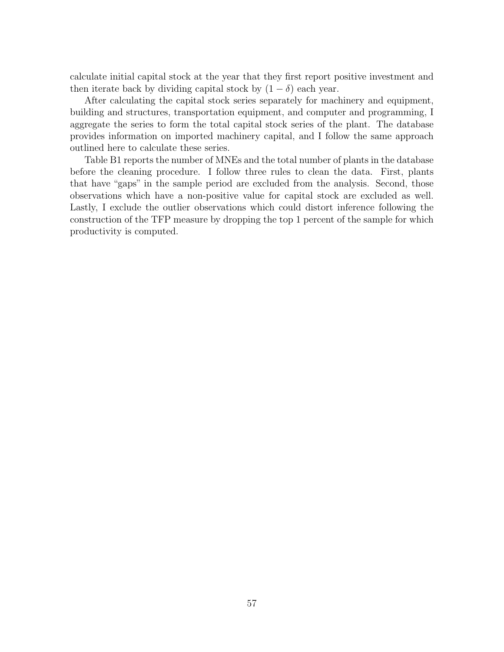calculate initial capital stock at the year that they first report positive investment and then iterate back by dividing capital stock by  $(1 - \delta)$  each year.

After calculating the capital stock series separately for machinery and equipment, building and structures, transportation equipment, and computer and programming, I aggregate the series to form the total capital stock series of the plant. The database provides information on imported machinery capital, and I follow the same approach outlined here to calculate these series.

Table B1 reports the number of MNEs and the total number of plants in the database before the cleaning procedure. I follow three rules to clean the data. First, plants that have "gaps" in the sample period are excluded from the analysis. Second, those observations which have a non-positive value for capital stock are excluded as well. Lastly, I exclude the outlier observations which could distort inference following the construction of the TFP measure by dropping the top 1 percent of the sample for which productivity is computed.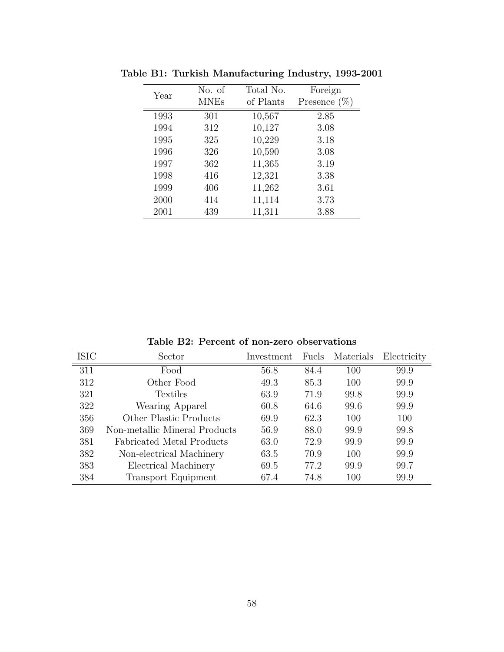| Year | No. of      | Total No. | Foreign         |
|------|-------------|-----------|-----------------|
|      | <b>MNEs</b> | of Plants | Presence $(\%)$ |
| 1993 | 301         | 10,567    | 2.85            |
| 1994 | 312         | 10,127    | 3.08            |
| 1995 | 325         | 10,229    | 3.18            |
| 1996 | 326         | 10,590    | 3.08            |
| 1997 | 362         | 11,365    | 3.19            |
| 1998 | 416         | 12,321    | 3.38            |
| 1999 | 406         | 11,262    | 3.61            |
| 2000 | 414         | 11,114    | 3.73            |
| 2001 | 439         | 11,311    | 3.88            |

Table B1: Turkish Manufacturing Industry, 1993-2001

Table B2: Percent of non-zero observations

| <b>ISIC</b> | Sector                        | Investment | Fuels | Materials | Electricity |
|-------------|-------------------------------|------------|-------|-----------|-------------|
| 311         | Food                          | 56.8       | 84.4  | 100       | 99.9        |
| 312         | Other Food                    | 49.3       | 85.3  | 100       | 99.9        |
| 321         | Textiles                      | 63.9       | 71.9  | 99.8      | 99.9        |
| 322         | Wearing Apparel               | 60.8       | 64.6  | 99.6      | 99.9        |
| 356         | Other Plastic Products        | 69.9       | 62.3  | 100       | 100         |
| 369         | Non-metallic Mineral Products | 56.9       | 88.0  | 99.9      | 99.8        |
| 381         | Fabricated Metal Products     | 63.0       | 72.9  | 99.9      | 99.9        |
| 382         | Non-electrical Machinery      | 63.5       | 70.9  | 100       | 99.9        |
| 383         | Electrical Machinery          | 69.5       | 77.2  | 99.9      | 99.7        |
| 384         | Transport Equipment           | 67.4       | 74.8  | 100       | 99.9        |